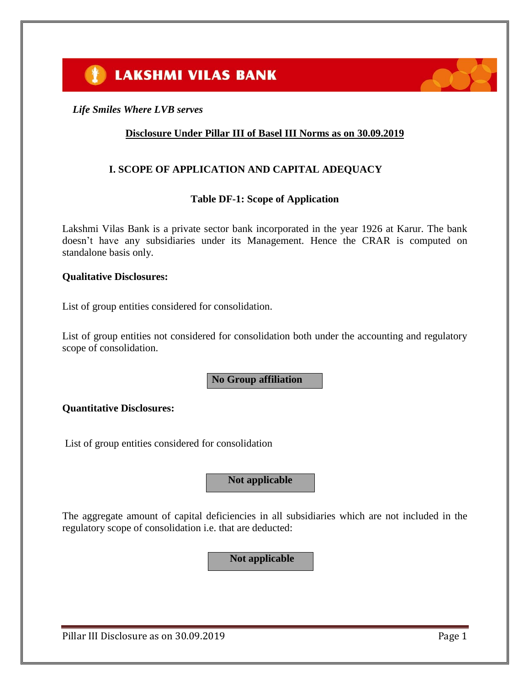



### **Disclosure Under Pillar III of Basel III Norms as on 30.09.2019**

# **I. SCOPE OF APPLICATION AND CAPITAL ADEQUACY**

#### **Table DF-1: Scope of Application**

Lakshmi Vilas Bank is a private sector bank incorporated in the year 1926 at Karur. The bank doesn't have any subsidiaries under its Management. Hence the CRAR is computed on standalone basis only.

#### **Qualitative Disclosures:**

List of group entities considered for consolidation.

List of group entities not considered for consolidation both under the accounting and regulatory scope of consolidation.

#### **No Group affiliation**

#### **Quantitative Disclosures:**

List of group entities considered for consolidation

# **Not applicable**

The aggregate amount of capital deficiencies in all subsidiaries which are not included in the regulatory scope of consolidation i.e. that are deducted:

**Not applicable**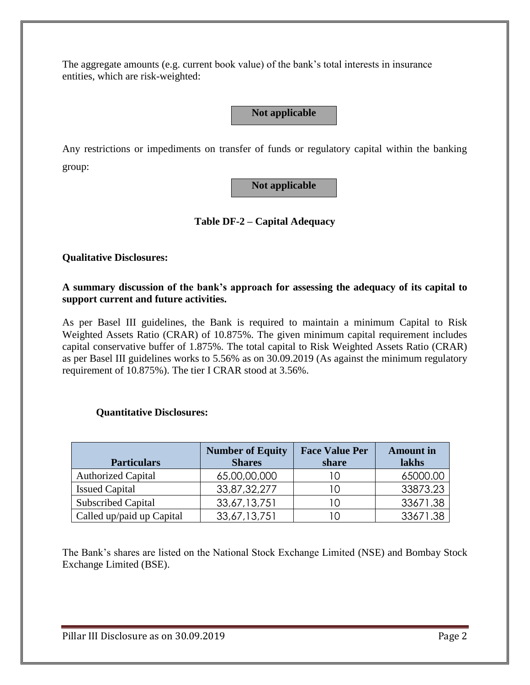The aggregate amounts (e.g. current book value) of the bank's total interests in insurance entities, which are risk-weighted:

# **Not applicable**

Any restrictions or impediments on transfer of funds or regulatory capital within the banking group:

**Not applicable**

# **Table DF-2 – Capital Adequacy**

#### **Qualitative Disclosures:**

### **A summary discussion of the bank's approach for assessing the adequacy of its capital to support current and future activities.**

As per Basel III guidelines, the Bank is required to maintain a minimum Capital to Risk Weighted Assets Ratio (CRAR) of 10.875%. The given minimum capital requirement includes capital conservative buffer of 1.875%. The total capital to Risk Weighted Assets Ratio (CRAR) as per Basel III guidelines works to 5.56% as on 30.09.2019 (As against the minimum regulatory requirement of 10.875%). The tier I CRAR stood at 3.56%.

#### **Quantitative Disclosures:**

|                           | <b>Number of Equity</b> | <b>Face Value Per</b> | <b>Amount in</b> |
|---------------------------|-------------------------|-----------------------|------------------|
| <b>Particulars</b>        | <b>Shares</b>           | share                 | lakhs            |
| <b>Authorized Capital</b> | 65,00,00,000            | O                     | 65000.00         |
| <b>Issued Capital</b>     | 33,87,32,277            | 0                     | 33873.23         |
| <b>Subscribed Capital</b> | 33,67,13,751            | O                     | 33671.38         |
| Called up/paid up Capital | 33,67,13,751            |                       | 33671.38         |

The Bank's shares are listed on the National Stock Exchange Limited (NSE) and Bombay Stock Exchange Limited (BSE).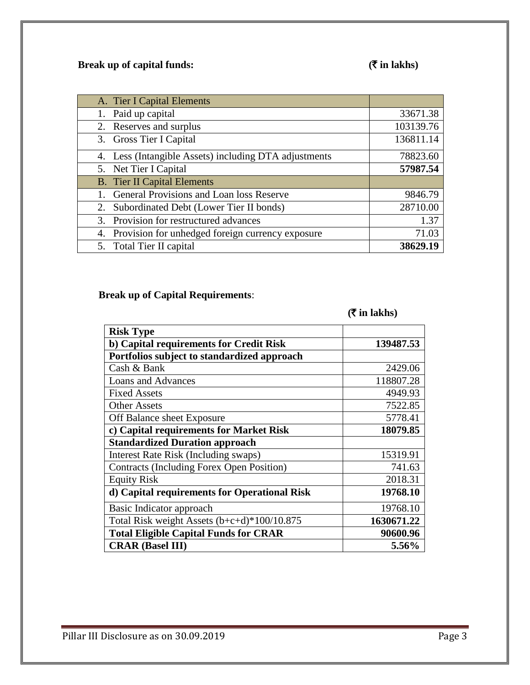# **Break up of capital funds:** (₹ **in lakhs**)

| A. Tier I Capital Elements                            |           |
|-------------------------------------------------------|-----------|
| 1. Paid up capital                                    | 33671.38  |
| 2. Reserves and surplus                               | 103139.76 |
| 3. Gross Tier I Capital                               | 136811.14 |
| 4. Less (Intangible Assets) including DTA adjustments | 78823.60  |
| 5. Net Tier I Capital                                 | 57987.54  |
| <b>B.</b> Tier II Capital Elements                    |           |
| General Provisions and Loan loss Reserve              | 9846.79   |
| 2. Subordinated Debt (Lower Tier II bonds)            | 28710.00  |
| 3. Provision for restructured advances                | 1.37      |
| 4. Provision for unhedged foreign currency exposure   | 71.03     |
| 5. Total Tier II capital                              | 38629.19  |

# **Break up of Capital Requirements**:

**(**` **in lakhs)**

| <b>Risk Type</b>                                 |            |
|--------------------------------------------------|------------|
| b) Capital requirements for Credit Risk          | 139487.53  |
| Portfolios subject to standardized approach      |            |
| Cash & Bank                                      | 2429.06    |
| <b>Loans and Advances</b>                        | 118807.28  |
| <b>Fixed Assets</b>                              | 4949.93    |
| <b>Other Assets</b>                              | 7522.85    |
| Off Balance sheet Exposure                       | 5778.41    |
| c) Capital requirements for Market Risk          | 18079.85   |
| <b>Standardized Duration approach</b>            |            |
| Interest Rate Risk (Including swaps)             | 15319.91   |
| <b>Contracts (Including Forex Open Position)</b> | 741.63     |
| <b>Equity Risk</b>                               | 2018.31    |
| d) Capital requirements for Operational Risk     | 19768.10   |
| Basic Indicator approach                         | 19768.10   |
| Total Risk weight Assets (b+c+d)*100/10.875      | 1630671.22 |
| <b>Total Eligible Capital Funds for CRAR</b>     | 90600.96   |
| <b>CRAR (Basel III)</b>                          | 5.56%      |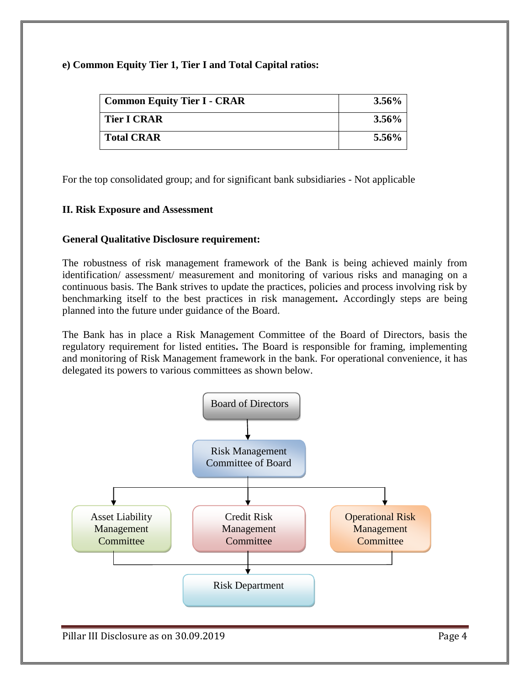# **e) Common Equity Tier 1, Tier I and Total Capital ratios:**

| <b>Common Equity Tier I - CRAR</b> | $3.56\%$ |
|------------------------------------|----------|
| <b>Tier I CRAR</b>                 | $3.56\%$ |
| <b>Total CRAR</b>                  | 5.56%    |

For the top consolidated group; and for significant bank subsidiaries - Not applicable

# **II. Risk Exposure and Assessment**

#### **General Qualitative Disclosure requirement:**

The robustness of risk management framework of the Bank is being achieved mainly from identification/ assessment/ measurement and monitoring of various risks and managing on a continuous basis. The Bank strives to update the practices, policies and process involving risk by benchmarking itself to the best practices in risk management**.** Accordingly steps are being planned into the future under guidance of the Board.

The Bank has in place a Risk Management Committee of the Board of Directors, basis the regulatory requirement for listed entities**.** The Board is responsible for framing, implementing and monitoring of Risk Management framework in the bank. For operational convenience, it has delegated its powers to various committees as shown below.

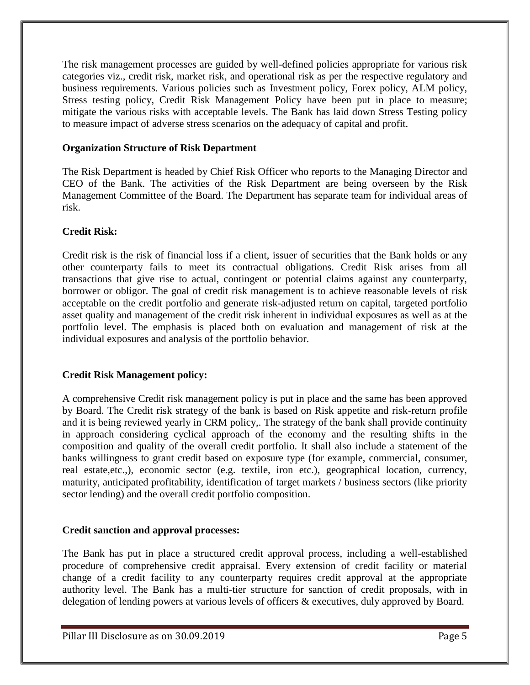The risk management processes are guided by well-defined policies appropriate for various risk categories viz., credit risk, market risk, and operational risk as per the respective regulatory and business requirements. Various policies such as Investment policy, Forex policy, ALM policy, Stress testing policy, Credit Risk Management Policy have been put in place to measure; mitigate the various risks with acceptable levels. The Bank has laid down Stress Testing policy to measure impact of adverse stress scenarios on the adequacy of capital and profit.

### **Organization Structure of Risk Department**

The Risk Department is headed by Chief Risk Officer who reports to the Managing Director and CEO of the Bank. The activities of the Risk Department are being overseen by the Risk Management Committee of the Board. The Department has separate team for individual areas of risk.

# **Credit Risk:**

Credit risk is the risk of financial loss if a client, issuer of securities that the Bank holds or any other counterparty fails to meet its contractual obligations. Credit Risk arises from all transactions that give rise to actual, contingent or potential claims against any counterparty, borrower or obligor. The goal of credit risk management is to achieve reasonable levels of risk acceptable on the credit portfolio and generate risk-adjusted return on capital, targeted portfolio asset quality and management of the credit risk inherent in individual exposures as well as at the portfolio level. The emphasis is placed both on evaluation and management of risk at the individual exposures and analysis of the portfolio behavior.

# **Credit Risk Management policy:**

A comprehensive Credit risk management policy is put in place and the same has been approved by Board. The Credit risk strategy of the bank is based on Risk appetite and risk-return profile and it is being reviewed yearly in CRM policy,. The strategy of the bank shall provide continuity in approach considering cyclical approach of the economy and the resulting shifts in the composition and quality of the overall credit portfolio. It shall also include a statement of the banks willingness to grant credit based on exposure type (for example, commercial, consumer, real estate,etc.,), economic sector (e.g. textile, iron etc.), geographical location, currency, maturity, anticipated profitability, identification of target markets / business sectors (like priority sector lending) and the overall credit portfolio composition.

#### **Credit sanction and approval processes:**

The Bank has put in place a structured credit approval process, including a well-established procedure of comprehensive credit appraisal. Every extension of credit facility or material change of a credit facility to any counterparty requires credit approval at the appropriate authority level. The Bank has a multi-tier structure for sanction of credit proposals, with in delegation of lending powers at various levels of officers & executives, duly approved by Board.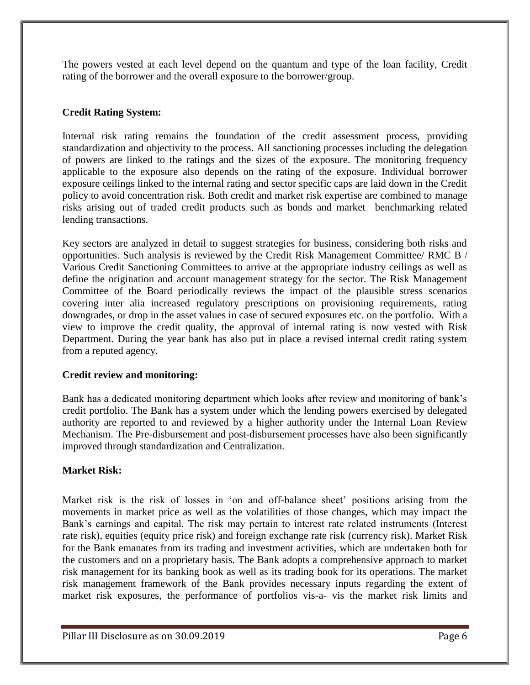The powers vested at each level depend on the quantum and type of the loan facility, Credit rating of the borrower and the overall exposure to the borrower/group.

# **Credit Rating System:**

Internal risk rating remains the foundation of the credit assessment process, providing standardization and objectivity to the process. All sanctioning processes including the delegation of powers are linked to the ratings and the sizes of the exposure. The monitoring frequency applicable to the exposure also depends on the rating of the exposure. Individual borrower exposure ceilings linked to the internal rating and sector specific caps are laid down in the Credit policy to avoid concentration risk. Both credit and market risk expertise are combined to manage risks arising out of traded credit products such as bonds and market benchmarking related lending transactions.

Key sectors are analyzed in detail to suggest strategies for business, considering both risks and opportunities. Such analysis is reviewed by the Credit Risk Management Committee/ RMC B / Various Credit Sanctioning Committees to arrive at the appropriate industry ceilings as well as define the origination and account management strategy for the sector. The Risk Management Committee of the Board periodically reviews the impact of the plausible stress scenarios covering inter alia increased regulatory prescriptions on provisioning requirements, rating downgrades, or drop in the asset values in case of secured exposures etc. on the portfolio. With a view to improve the credit quality, the approval of internal rating is now vested with Risk Department. During the year bank has also put in place a revised internal credit rating system from a reputed agency.

# **Credit review and monitoring:**

Bank has a dedicated monitoring department which looks after review and monitoring of bank's credit portfolio. The Bank has a system under which the lending powers exercised by delegated authority are reported to and reviewed by a higher authority under the Internal Loan Review Mechanism. The Pre-disbursement and post-disbursement processes have also been significantly improved through standardization and Centralization.

# **Market Risk:**

Market risk is the risk of losses in 'on and off-balance sheet' positions arising from the movements in market price as well as the volatilities of those changes, which may impact the Bank's earnings and capital. The risk may pertain to interest rate related instruments (Interest rate risk), equities (equity price risk) and foreign exchange rate risk (currency risk). Market Risk for the Bank emanates from its trading and investment activities, which are undertaken both for the customers and on a proprietary basis. The Bank adopts a comprehensive approach to market risk management for its banking book as well as its trading book for its operations. The market risk management framework of the Bank provides necessary inputs regarding the extent of market risk exposures, the performance of portfolios vis-a- vis the market risk limits and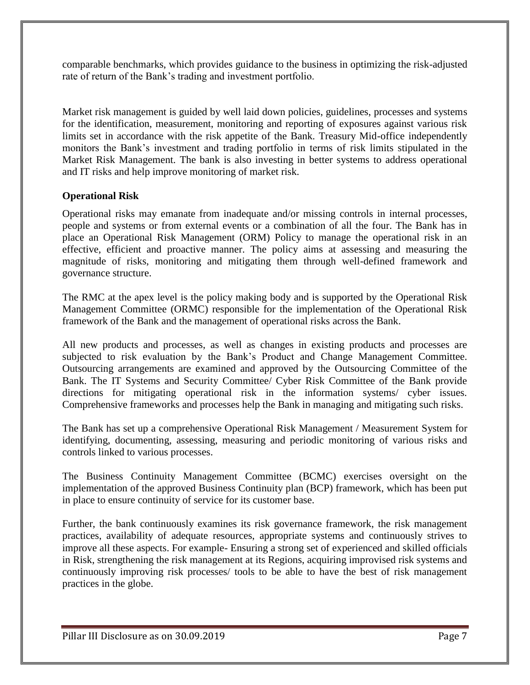comparable benchmarks, which provides guidance to the business in optimizing the risk-adjusted rate of return of the Bank's trading and investment portfolio.

Market risk management is guided by well laid down policies, guidelines, processes and systems for the identification, measurement, monitoring and reporting of exposures against various risk limits set in accordance with the risk appetite of the Bank. Treasury Mid-office independently monitors the Bank's investment and trading portfolio in terms of risk limits stipulated in the Market Risk Management. The bank is also investing in better systems to address operational and IT risks and help improve monitoring of market risk.

#### **Operational Risk**

Operational risks may emanate from inadequate and/or missing controls in internal processes, people and systems or from external events or a combination of all the four. The Bank has in place an Operational Risk Management (ORM) Policy to manage the operational risk in an effective, efficient and proactive manner. The policy aims at assessing and measuring the magnitude of risks, monitoring and mitigating them through well-defined framework and governance structure.

The RMC at the apex level is the policy making body and is supported by the Operational Risk Management Committee (ORMC) responsible for the implementation of the Operational Risk framework of the Bank and the management of operational risks across the Bank.

All new products and processes, as well as changes in existing products and processes are subjected to risk evaluation by the Bank's Product and Change Management Committee. Outsourcing arrangements are examined and approved by the Outsourcing Committee of the Bank. The IT Systems and Security Committee/ Cyber Risk Committee of the Bank provide directions for mitigating operational risk in the information systems/ cyber issues. Comprehensive frameworks and processes help the Bank in managing and mitigating such risks.

The Bank has set up a comprehensive Operational Risk Management / Measurement System for identifying, documenting, assessing, measuring and periodic monitoring of various risks and controls linked to various processes.

The Business Continuity Management Committee (BCMC) exercises oversight on the implementation of the approved Business Continuity plan (BCP) framework, which has been put in place to ensure continuity of service for its customer base.

Further, the bank continuously examines its risk governance framework, the risk management practices, availability of adequate resources, appropriate systems and continuously strives to improve all these aspects. For example- Ensuring a strong set of experienced and skilled officials in Risk, strengthening the risk management at its Regions, acquiring improvised risk systems and continuously improving risk processes/ tools to be able to have the best of risk management practices in the globe.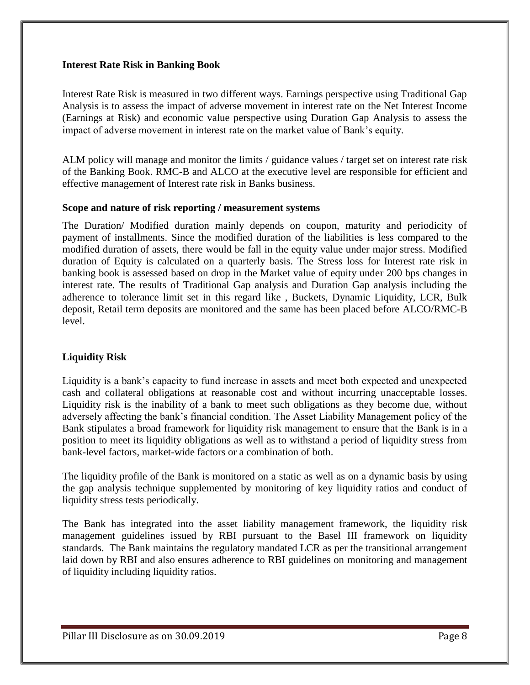#### **Interest Rate Risk in Banking Book**

Interest Rate Risk is measured in two different ways. Earnings perspective using Traditional Gap Analysis is to assess the impact of adverse movement in interest rate on the Net Interest Income (Earnings at Risk) and economic value perspective using Duration Gap Analysis to assess the impact of adverse movement in interest rate on the market value of Bank's equity.

ALM policy will manage and monitor the limits / guidance values / target set on interest rate risk of the Banking Book. RMC-B and ALCO at the executive level are responsible for efficient and effective management of Interest rate risk in Banks business.

#### **Scope and nature of risk reporting / measurement systems**

The Duration/ Modified duration mainly depends on coupon, maturity and periodicity of payment of installments. Since the modified duration of the liabilities is less compared to the modified duration of assets, there would be fall in the equity value under major stress. Modified duration of Equity is calculated on a quarterly basis. The Stress loss for Interest rate risk in banking book is assessed based on drop in the Market value of equity under 200 bps changes in interest rate. The results of Traditional Gap analysis and Duration Gap analysis including the adherence to tolerance limit set in this regard like , Buckets, Dynamic Liquidity, LCR, Bulk deposit, Retail term deposits are monitored and the same has been placed before ALCO/RMC-B level.

# **Liquidity Risk**

Liquidity is a bank's capacity to fund increase in assets and meet both expected and unexpected cash and collateral obligations at reasonable cost and without incurring unacceptable losses. Liquidity risk is the inability of a bank to meet such obligations as they become due, without adversely affecting the bank's financial condition. The Asset Liability Management policy of the Bank stipulates a broad framework for liquidity risk management to ensure that the Bank is in a position to meet its liquidity obligations as well as to withstand a period of liquidity stress from bank-level factors, market-wide factors or a combination of both.

The liquidity profile of the Bank is monitored on a static as well as on a dynamic basis by using the gap analysis technique supplemented by monitoring of key liquidity ratios and conduct of liquidity stress tests periodically.

The Bank has integrated into the asset liability management framework, the liquidity risk management guidelines issued by RBI pursuant to the Basel III framework on liquidity standards. The Bank maintains the regulatory mandated LCR as per the transitional arrangement laid down by RBI and also ensures adherence to RBI guidelines on monitoring and management of liquidity including liquidity ratios.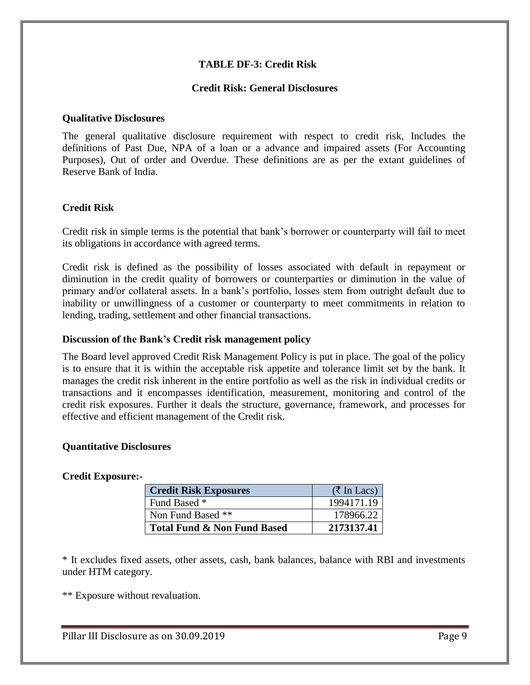# **TABLE DF-3: Credit Risk**

#### **Credit Risk: General Disclosures**

#### **Qualitative Disclosures**

The general qualitative disclosure requirement with respect to credit risk, Includes the definitions of Past Due, NPA of a loan or a advance and impaired assets (For Accounting Purposes), Out of order and Overdue. These definitions are as per the extant guidelines of Reserve Bank of India.

#### **Credit Risk**

Credit risk in simple terms is the potential that bank's borrower or counterparty will fail to meet its obligations in accordance with agreed terms.

Credit risk is defined as the possibility of losses associated with default in repayment or diminution in the credit quality of borrowers or counterparties or diminution in the value of primary and/or collateral assets. In a bank's portfolio, losses stem from outright default due to inability or unwillingness of a customer or counterparty to meet commitments in relation to lending, trading, settlement and other financial transactions.

#### **Discussion of the Bank's Credit risk management policy**

The Board level approved Credit Risk Management Policy is put in place. The goal of the policy is to ensure that it is within the acceptable risk appetite and tolerance limit set by the bank. It manages the credit risk inherent in the entire portfolio as well as the risk in individual credits or transactions and it encompasses identification, measurement, monitoring and control of the credit risk exposures. Further it deals the structure, governance, framework, and processes for effective and efficient management of the Credit risk.

#### **Quantitative Disclosures**

#### **Credit Exposure:-**

| <b>Credit Risk Exposures</b> | $(\bar{\tau}$ In Lacs) |
|------------------------------|------------------------|
| Fund Based *                 | 1994171.19             |
| Non Fund Based **            | 178966.22              |
| Total Fund & Non Fund Based  | 2173137.41             |

\* It excludes fixed assets, other assets, cash, bank balances, balance with RBI and investments under HTM category.

\*\* Exposure without revaluation.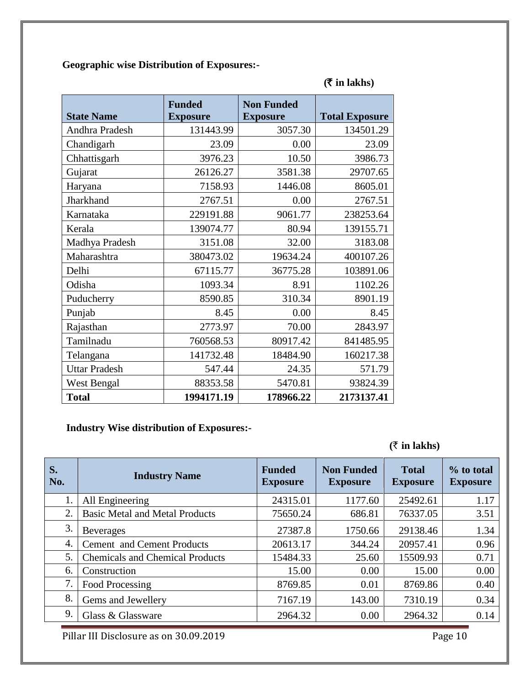**Geographic wise Distribution of Exposures:-**

| <b>State Name</b>    | <b>Funded</b><br><b>Exposure</b> | <b>Non Funded</b><br><b>Exposure</b> | <b>Total Exposure</b> |
|----------------------|----------------------------------|--------------------------------------|-----------------------|
| Andhra Pradesh       | 131443.99                        | 3057.30                              | 134501.29             |
| Chandigarh           | 23.09                            | 0.00                                 | 23.09                 |
| Chhattisgarh         | 3976.23                          | 10.50                                | 3986.73               |
| Gujarat              | 26126.27                         | 3581.38                              | 29707.65              |
| Haryana              | 7158.93                          | 1446.08                              | 8605.01               |
| Jharkhand            | 2767.51                          | 0.00                                 | 2767.51               |
| Karnataka            | 229191.88                        | 9061.77                              | 238253.64             |
| Kerala               | 139074.77                        | 80.94                                | 139155.71             |
| Madhya Pradesh       | 3151.08                          | 32.00                                | 3183.08               |
| Maharashtra          | 380473.02                        | 19634.24                             | 400107.26             |
| Delhi                | 67115.77                         | 36775.28                             | 103891.06             |
| Odisha               | 1093.34                          | 8.91                                 | 1102.26               |
| Puducherry           | 8590.85                          | 310.34                               | 8901.19               |
| Punjab               | 8.45                             | 0.00                                 | 8.45                  |
| Rajasthan            | 2773.97                          | 70.00                                | 2843.97               |
| Tamilnadu            | 760568.53                        | 80917.42                             | 841485.95             |
| Telangana            | 141732.48                        | 18484.90                             | 160217.38             |
| <b>Uttar Pradesh</b> | 547.44                           | 24.35                                | 571.79                |
| West Bengal          | 88353.58                         | 5470.81                              | 93824.39              |
| <b>Total</b>         | 1994171.19                       | 178966.22                            | 2173137.41            |

 $($  $\bar{\tau}$  in lakhs)

# **Industry Wise distribution of Exposures:-**

 $(\bar{\tau}$  in lakhs)

| S.<br>No. | <b>Industry Name</b>                   | <b>Funded</b><br><b>Exposure</b> | <b>Non Funded</b><br><b>Exposure</b> | <b>Total</b><br><b>Exposure</b> | % to total<br><b>Exposure</b> |
|-----------|----------------------------------------|----------------------------------|--------------------------------------|---------------------------------|-------------------------------|
| 1.        | All Engineering                        | 24315.01                         | 1177.60                              | 25492.61                        | 1.17                          |
| 2.        | <b>Basic Metal and Metal Products</b>  | 75650.24                         | 686.81                               | 76337.05                        | 3.51                          |
| 3.        | <b>Beverages</b>                       | 27387.8                          | 1750.66                              | 29138.46                        | 1.34                          |
| 4.        | <b>Cement</b> and Cement Products      | 20613.17                         | 344.24                               | 20957.41                        | 0.96                          |
| 5.        | <b>Chemicals and Chemical Products</b> | 15484.33                         | 25.60                                | 15509.93                        | 0.71                          |
| 6.        | Construction                           | 15.00                            | 0.00                                 | 15.00                           | 0.00                          |
| 7.        | Food Processing                        | 8769.85                          | 0.01                                 | 8769.86                         | 0.40                          |
| 8.        | Gems and Jewellery                     | 7167.19                          | 143.00                               | 7310.19                         | 0.34                          |
| 9.        | Glass & Glassware                      | 2964.32                          | 0.00                                 | 2964.32                         | 0.14                          |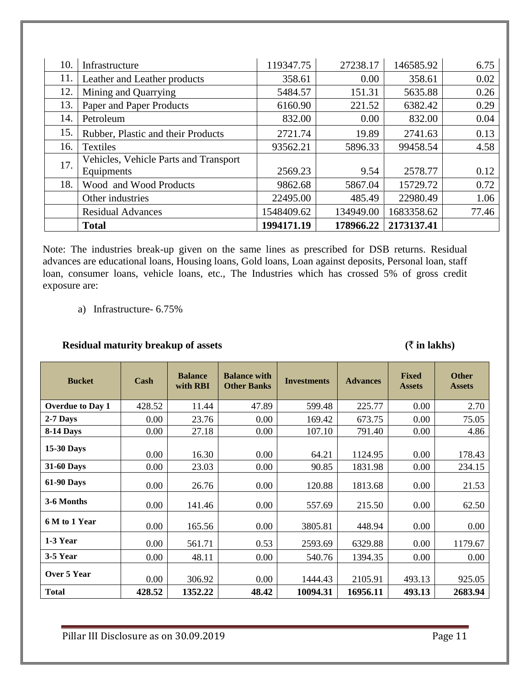| 10. | Infrastructure                        | 119347.75  | 27238.17  | 146585.92  | 6.75  |
|-----|---------------------------------------|------------|-----------|------------|-------|
| 11. | Leather and Leather products          | 358.61     | 0.00      | 358.61     | 0.02  |
| 12. | Mining and Quarrying                  | 5484.57    | 151.31    | 5635.88    | 0.26  |
| 13. | Paper and Paper Products              | 6160.90    | 221.52    | 6382.42    | 0.29  |
| 14. | Petroleum                             | 832.00     | 0.00      | 832.00     | 0.04  |
| 15. | Rubber, Plastic and their Products    | 2721.74    | 19.89     | 2741.63    | 0.13  |
| 16. | Textiles                              | 93562.21   | 5896.33   | 99458.54   | 4.58  |
| 17. | Vehicles, Vehicle Parts and Transport |            |           |            |       |
|     | Equipments                            | 2569.23    | 9.54      | 2578.77    | 0.12  |
| 18. | Wood and Wood Products                | 9862.68    | 5867.04   | 15729.72   | 0.72  |
|     | Other industries                      | 22495.00   | 485.49    | 22980.49   | 1.06  |
|     | <b>Residual Advances</b>              | 1548409.62 | 134949.00 | 1683358.62 | 77.46 |
|     | <b>Total</b>                          | 1994171.19 | 178966.22 | 2173137.41 |       |

Note: The industries break-up given on the same lines as prescribed for DSB returns. Residual advances are educational loans, Housing loans, Gold loans, Loan against deposits, Personal loan, staff loan, consumer loans, vehicle loans, etc., The Industries which has crossed 5% of gross credit exposure are:

a) Infrastructure- 6.75%

# **Residual maturity breakup of assets (**` **in lakhs)**

| <b>Bucket</b>           | $\mathbf{Cash}$ | <b>Balance</b><br>with RBI | <b>Balance with</b><br><b>Other Banks</b> | <b>Investments</b> | <b>Advances</b> | <b>Fixed</b><br><b>Assets</b> | <b>Other</b><br><b>Assets</b> |
|-------------------------|-----------------|----------------------------|-------------------------------------------|--------------------|-----------------|-------------------------------|-------------------------------|
| <b>Overdue to Day 1</b> | 428.52          | 11.44                      | 47.89                                     | 599.48             | 225.77          | 0.00                          | 2.70                          |
| 2-7 Days                | 0.00            | 23.76                      | 0.00                                      | 169.42             | 673.75          | 0.00                          | 75.05                         |
| 8-14 Days               | 0.00            | 27.18                      | 0.00                                      | 107.10             | 791.40          | 0.00                          | 4.86                          |
| <b>15-30 Days</b>       | 0.00            | 16.30                      | 0.00                                      | 64.21              | 1124.95         | 0.00                          | 178.43                        |
| <b>31-60 Days</b>       | 0.00            | 23.03                      | 0.00                                      | 90.85              | 1831.98         | 0.00                          | 234.15                        |
| <b>61-90 Days</b>       | 0.00            | 26.76                      | 0.00                                      | 120.88             | 1813.68         | 0.00                          | 21.53                         |
| 3-6 Months              | 0.00            | 141.46                     | 0.00                                      | 557.69             | 215.50          | 0.00                          | 62.50                         |
| 6 M to 1 Year           | 0.00            | 165.56                     | 0.00                                      | 3805.81            | 448.94          | 0.00                          | 0.00                          |
| 1-3 Year                | 0.00            | 561.71                     | 0.53                                      | 2593.69            | 6329.88         | 0.00                          | 1179.67                       |
| 3-5 Year                | 0.00            | 48.11                      | 0.00                                      | 540.76             | 1394.35         | 0.00                          | 0.00                          |
| Over 5 Year             | 0.00            | 306.92                     | 0.00                                      | 1444.43            | 2105.91         | 493.13                        | 925.05                        |
| <b>Total</b>            | 428.52          | 1352.22                    | 48.42                                     | 10094.31           | 16956.11        | 493.13                        | 2683.94                       |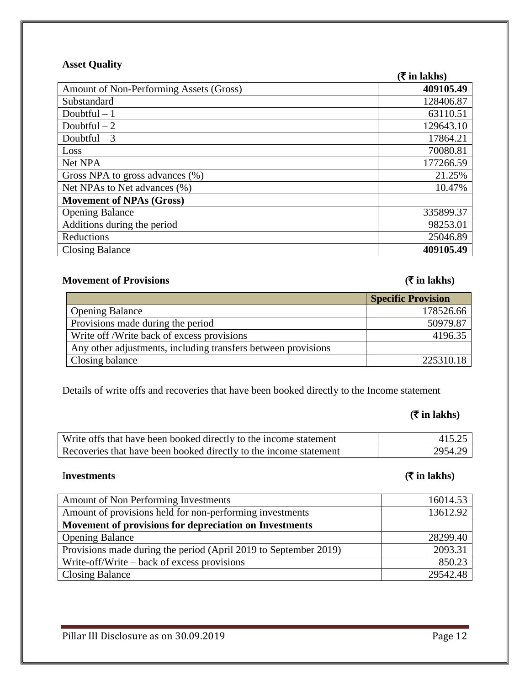# **Asset Quality**

|                                         | $(\xi$ in lakhs) |
|-----------------------------------------|------------------|
| Amount of Non-Performing Assets (Gross) | 409105.49        |
| Substandard                             | 128406.87        |
| Doubtful $-1$                           | 63110.51         |
| Doubtful $-2$                           | 129643.10        |
| Doubtful $-3$                           | 17864.21         |
| Loss                                    | 70080.81         |
| Net NPA                                 | 177266.59        |
| Gross NPA to gross advances (%)         | 21.25%           |
| Net NPAs to Net advances (%)            | 10.47%           |
| <b>Movement of NPAs (Gross)</b>         |                  |
| <b>Opening Balance</b>                  | 335899.37        |
| Additions during the period             | 98253.01         |
| Reductions                              | 25046.89         |
| <b>Closing Balance</b>                  | 409105.49        |

# **Movement of Provisions (** $\overline{\tau}$  in lakhs)

|                                                               | <b>Specific Provision</b> |
|---------------------------------------------------------------|---------------------------|
| <b>Opening Balance</b>                                        | 178526.66                 |
| Provisions made during the period                             | 50979.87                  |
| Write off /Write back of excess provisions                    | 4196.35                   |
| Any other adjustments, including transfers between provisions |                           |
| Closing balance                                               | 225310.18                 |

Details of write offs and recoveries that have been booked directly to the Income statement

# **(**` **in lakhs)**

| Write offs that have been booked directly to the income statement |         |
|-------------------------------------------------------------------|---------|
| Recoveries that have been booked directly to the income statement | 2954.29 |

# I**nvestments (**` **in lakhs)**

| Amount of Non Performing Investments                             | 16014.53 |
|------------------------------------------------------------------|----------|
| Amount of provisions held for non-performing investments         | 13612.92 |
| Movement of provisions for depreciation on Investments           |          |
| <b>Opening Balance</b>                                           | 28299.40 |
| Provisions made during the period (April 2019 to September 2019) | 2093.31  |
| Write-off/Write – back of excess provisions                      | 850.23   |
| <b>Closing Balance</b>                                           | 29542.48 |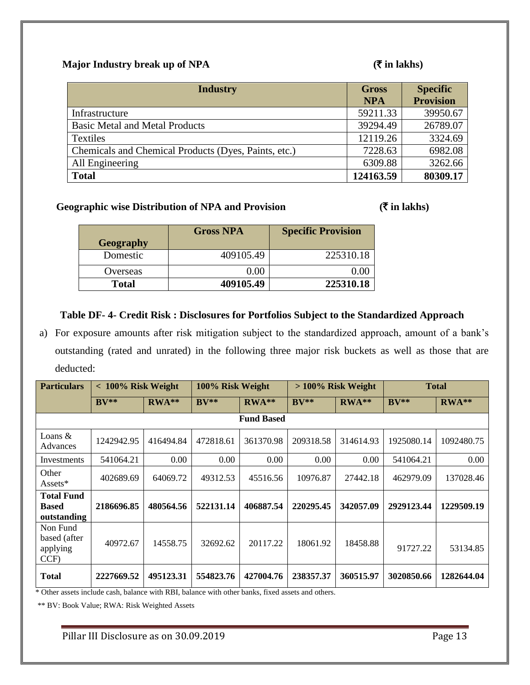# **Major Industry break up of NPA** (₹ in lakhs)

| <b>Industry</b>                                      | <b>Gross</b> | <b>Specific</b>  |
|------------------------------------------------------|--------------|------------------|
|                                                      | <b>NPA</b>   | <b>Provision</b> |
| Infrastructure                                       | 59211.33     | 39950.67         |
| <b>Basic Metal and Metal Products</b>                | 39294.49     | 26789.07         |
| <b>Textiles</b>                                      | 12119.26     | 3324.69          |
| Chemicals and Chemical Products (Dyes, Paints, etc.) | 7228.63      | 6982.08          |
| All Engineering                                      | 6309.88      | 3262.66          |
| <b>Total</b>                                         | 124163.59    | 80309.17         |

# Geographic wise Distribution of NPA and Provision (₹ in lakhs)

|                  | <b>Gross NPA</b> | <b>Specific Provision</b> |
|------------------|------------------|---------------------------|
| <b>Geography</b> |                  |                           |
| Domestic         | 409105.49        | 225310.18                 |
| Overseas         | 0.00             | 0 OC                      |
| <b>Total</b>     | 409105.49        | 225310.18                 |

# **Table DF- 4- Credit Risk : Disclosures for Portfolios Subject to the Standardized Approach**

a) For exposure amounts after risk mitigation subject to the standardized approach, amount of a bank's outstanding (rated and unrated) in the following three major risk buckets as well as those that are deducted:

| <b>Particulars</b>                               | $< 100\%$ Risk Weight |           | 100% Risk Weight |                   | $>100\%$ Risk Weight |           | <b>Total</b> |            |
|--------------------------------------------------|-----------------------|-----------|------------------|-------------------|----------------------|-----------|--------------|------------|
|                                                  | $BV**$                | $RWA**$   | $BV**$           | $RWA**$           | $BV**$               | $RWA**$   | $BV**$       | $RWA**$    |
|                                                  |                       |           |                  | <b>Fund Based</b> |                      |           |              |            |
| Loans $&$<br>Advances                            | 1242942.95            | 416494.84 | 472818.61        | 361370.98         | 209318.58            | 314614.93 | 1925080.14   | 1092480.75 |
| Investments                                      | 541064.21             | 0.00      | $0.00\,$         | 0.00              | 0.00                 | 0.00      | 541064.21    | 0.00       |
| Other<br>$Assets*$                               | 402689.69             | 64069.72  | 49312.53         | 45516.56          | 10976.87             | 27442.18  | 462979.09    | 137028.46  |
| <b>Total Fund</b><br><b>Based</b><br>outstanding | 2186696.85            | 480564.56 | 522131.14        | 406887.54         | 220295.45            | 342057.09 | 2929123.44   | 1229509.19 |
| Non Fund<br>based (after<br>applying<br>CCF)     | 40972.67              | 14558.75  | 32692.62         | 20117.22          | 18061.92             | 18458.88  | 91727.22     | 53134.85   |
| <b>Total</b>                                     | 2227669.52            | 495123.31 | 554823.76        | 427004.76         | 238357.37            | 360515.97 | 3020850.66   | 1282644.04 |

\* Other assets include cash, balance with RBI, balance with other banks, fixed assets and others.

\*\* BV: Book Value; RWA: Risk Weighted Assets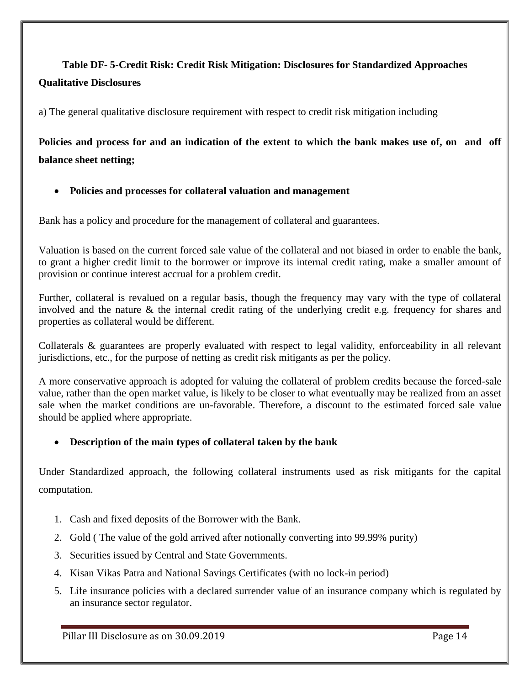# **Table DF- 5-Credit Risk: Credit Risk Mitigation: Disclosures for Standardized Approaches Qualitative Disclosures**

a) The general qualitative disclosure requirement with respect to credit risk mitigation including

**Policies and process for and an indication of the extent to which the bank makes use of, on and off balance sheet netting;**

**Policies and processes for collateral valuation and management**

Bank has a policy and procedure for the management of collateral and guarantees.

Valuation is based on the current forced sale value of the collateral and not biased in order to enable the bank, to grant a higher credit limit to the borrower or improve its internal credit rating, make a smaller amount of provision or continue interest accrual for a problem credit.

Further, collateral is revalued on a regular basis, though the frequency may vary with the type of collateral involved and the nature & the internal credit rating of the underlying credit e.g. frequency for shares and properties as collateral would be different.

Collaterals & guarantees are properly evaluated with respect to legal validity, enforceability in all relevant jurisdictions, etc., for the purpose of netting as credit risk mitigants as per the policy.

A more conservative approach is adopted for valuing the collateral of problem credits because the forced-sale value, rather than the open market value, is likely to be closer to what eventually may be realized from an asset sale when the market conditions are un-favorable. Therefore, a discount to the estimated forced sale value should be applied where appropriate.

# **Description of the main types of collateral taken by the bank**

Under Standardized approach, the following collateral instruments used as risk mitigants for the capital computation.

- 1. Cash and fixed deposits of the Borrower with the Bank.
- 2. Gold ( The value of the gold arrived after notionally converting into 99.99% purity)
- 3. Securities issued by Central and State Governments.
- 4. Kisan Vikas Patra and National Savings Certificates (with no lock-in period)
- 5. Life insurance policies with a declared surrender value of an insurance company which is regulated by an insurance sector regulator.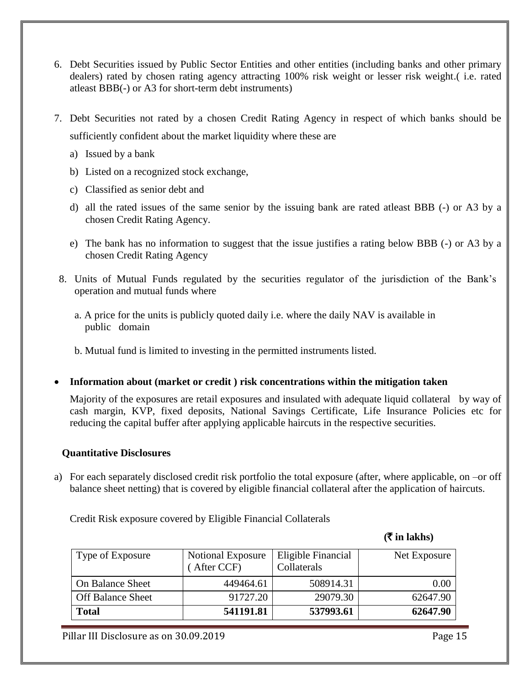- 6. Debt Securities issued by Public Sector Entities and other entities (including banks and other primary dealers) rated by chosen rating agency attracting 100% risk weight or lesser risk weight.( i.e. rated atleast BBB(-) or A3 for short-term debt instruments)
- 7. Debt Securities not rated by a chosen Credit Rating Agency in respect of which banks should be sufficiently confident about the market liquidity where these are
	- a) Issued by a bank
	- b) Listed on a recognized stock exchange,
	- c) Classified as senior debt and
	- d) all the rated issues of the same senior by the issuing bank are rated atleast BBB (-) or A3 by a chosen Credit Rating Agency.
	- e) The bank has no information to suggest that the issue justifies a rating below BBB (-) or A3 by a chosen Credit Rating Agency
- 8. Units of Mutual Funds regulated by the securities regulator of the jurisdiction of the Bank's operation and mutual funds where
	- a. A price for the units is publicly quoted daily i.e. where the daily NAV is available in public domain
	- b. Mutual fund is limited to investing in the permitted instruments listed.
- **Information about (market or credit ) risk concentrations within the mitigation taken**

Majority of the exposures are retail exposures and insulated with adequate liquid collateral by way of cash margin, KVP, fixed deposits, National Savings Certificate, Life Insurance Policies etc for reducing the capital buffer after applying applicable haircuts in the respective securities.

#### **Quantitative Disclosures**

a) For each separately disclosed credit risk portfolio the total exposure (after, where applicable, on –or off balance sheet netting) that is covered by eligible financial collateral after the application of haircuts.

Credit Risk exposure covered by Eligible Financial Collaterals

#### **(**` **in lakhs)**

| Type of Exposure         | Notional Exposure<br>After CCF) | Eligible Financial<br>Collaterals | Net Exposure |
|--------------------------|---------------------------------|-----------------------------------|--------------|
| On Balance Sheet         | 449464.61                       | 508914.31                         | 0.00         |
| <b>Off Balance Sheet</b> | 91727.20                        | 29079.30                          | 62647.90     |
| <b>Total</b>             | 541191.81                       | 537993.61                         | 62647.90     |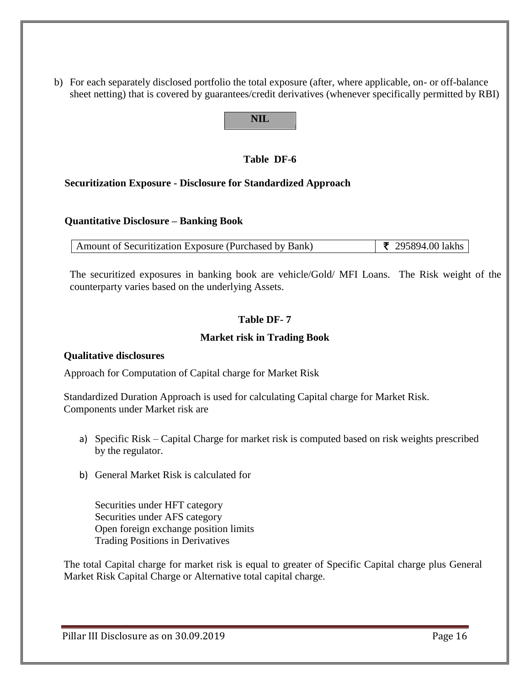b) For each separately disclosed portfolio the total exposure (after, where applicable, on- or off-balance sheet netting) that is covered by guarantees/credit derivatives (whenever specifically permitted by RBI)

# **NIL**

# **Table DF-6**

#### **Securitization Exposure - Disclosure for Standardized Approach**

#### **Quantitative Disclosure – Banking Book**

| Amount of Securitization Exposure (Purchased by Bank) | $\frac{1}{5}$ 295894.00 lakhs |
|-------------------------------------------------------|-------------------------------|

The securitized exposures in banking book are vehicle/Gold/ MFI Loans. The Risk weight of the counterparty varies based on the underlying Assets.

# **Table DF- 7**

#### **Market risk in Trading Book**

#### **Qualitative disclosures**

Approach for Computation of Capital charge for Market Risk

Standardized Duration Approach is used for calculating Capital charge for Market Risk. Components under Market risk are

- a) Specific Risk Capital Charge for market risk is computed based on risk weights prescribed by the regulator.
- b) General Market Risk is calculated for

Securities under HFT category Securities under AFS category Open foreign exchange position limits Trading Positions in Derivatives

The total Capital charge for market risk is equal to greater of Specific Capital charge plus General Market Risk Capital Charge or Alternative total capital charge.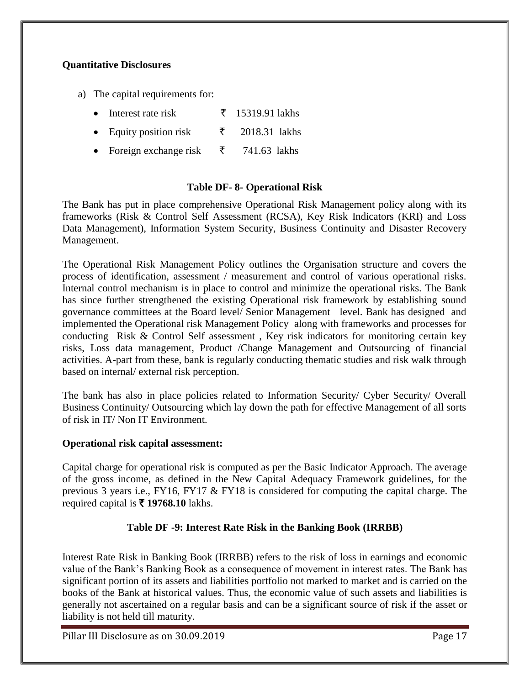# **Quantitative Disclosures**

- a) The capital requirements for:
	- Interest rate risk  $\bar{\tau}$  15319.91 lakhs
	- Equity position risk  $\bar{\zeta}$  2018.31 lakhs
	- Foreign exchange risk  $\bar{\tau}$  741.63 lakhs

# **Table DF- 8- Operational Risk**

The Bank has put in place comprehensive Operational Risk Management policy along with its frameworks (Risk & Control Self Assessment (RCSA), Key Risk Indicators (KRI) and Loss Data Management), Information System Security, Business Continuity and Disaster Recovery Management.

The Operational Risk Management Policy outlines the Organisation structure and covers the process of identification, assessment / measurement and control of various operational risks. Internal control mechanism is in place to control and minimize the operational risks. The Bank has since further strengthened the existing Operational risk framework by establishing sound governance committees at the Board level/ Senior Management level. Bank has designed and implemented the Operational risk Management Policy along with frameworks and processes for conducting Risk & Control Self assessment , Key risk indicators for monitoring certain key risks, Loss data management, Product /Change Management and Outsourcing of financial activities. A-part from these, bank is regularly conducting thematic studies and risk walk through based on internal/ external risk perception.

The bank has also in place policies related to Information Security/ Cyber Security/ Overall Business Continuity/ Outsourcing which lay down the path for effective Management of all sorts of risk in IT/ Non IT Environment.

# **Operational risk capital assessment:**

Capital charge for operational risk is computed as per the Basic Indicator Approach. The average of the gross income, as defined in the New Capital Adequacy Framework guidelines, for the previous 3 years i.e., FY16, FY17 & FY18 is considered for computing the capital charge. The required capital is  $\bar{\mathbf{\tau}}$  19768.10 lakhs.

# **Table DF -9: Interest Rate Risk in the Banking Book (IRRBB)**

Interest Rate Risk in Banking Book (IRRBB) refers to the risk of loss in earnings and economic value of the Bank's Banking Book as a consequence of movement in interest rates. The Bank has significant portion of its assets and liabilities portfolio not marked to market and is carried on the books of the Bank at historical values. Thus, the economic value of such assets and liabilities is generally not ascertained on a regular basis and can be a significant source of risk if the asset or liability is not held till maturity.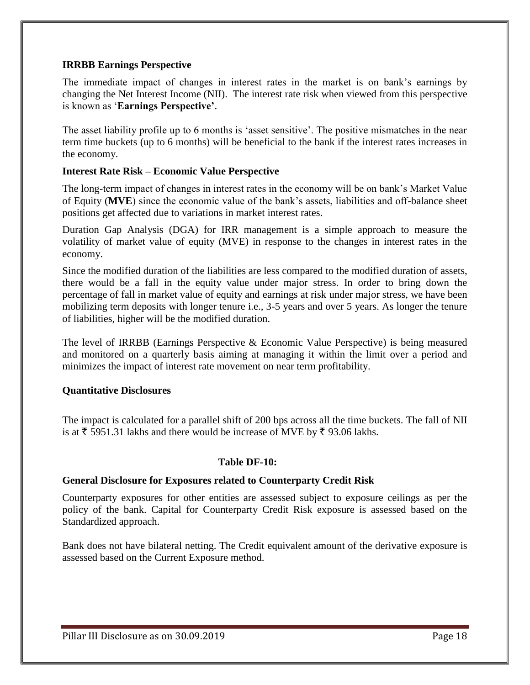### **IRRBB Earnings Perspective**

The immediate impact of changes in interest rates in the market is on bank's earnings by changing the Net Interest Income (NII). The interest rate risk when viewed from this perspective is known as '**Earnings Perspective'**.

The asset liability profile up to 6 months is 'asset sensitive'. The positive mismatches in the near term time buckets (up to 6 months) will be beneficial to the bank if the interest rates increases in the economy.

#### **Interest Rate Risk – Economic Value Perspective**

The long-term impact of changes in interest rates in the economy will be on bank's Market Value of Equity (**MVE**) since the economic value of the bank's assets, liabilities and off-balance sheet positions get affected due to variations in market interest rates.

Duration Gap Analysis (DGA) for IRR management is a simple approach to measure the volatility of market value of equity (MVE) in response to the changes in interest rates in the economy.

Since the modified duration of the liabilities are less compared to the modified duration of assets, there would be a fall in the equity value under major stress. In order to bring down the percentage of fall in market value of equity and earnings at risk under major stress, we have been mobilizing term deposits with longer tenure i.e., 3-5 years and over 5 years. As longer the tenure of liabilities, higher will be the modified duration.

The level of IRRBB (Earnings Perspective & Economic Value Perspective) is being measured and monitored on a quarterly basis aiming at managing it within the limit over a period and minimizes the impact of interest rate movement on near term profitability.

#### **Quantitative Disclosures**

The impact is calculated for a parallel shift of 200 bps across all the time buckets. The fall of NII is at  $\bar{\tau}$  5951.31 lakhs and there would be increase of MVE by  $\bar{\tau}$  93.06 lakhs.

#### **Table DF-10:**

#### **General Disclosure for Exposures related to Counterparty Credit Risk**

Counterparty exposures for other entities are assessed subject to exposure ceilings as per the policy of the bank. Capital for Counterparty Credit Risk exposure is assessed based on the Standardized approach.

Bank does not have bilateral netting. The Credit equivalent amount of the derivative exposure is assessed based on the Current Exposure method.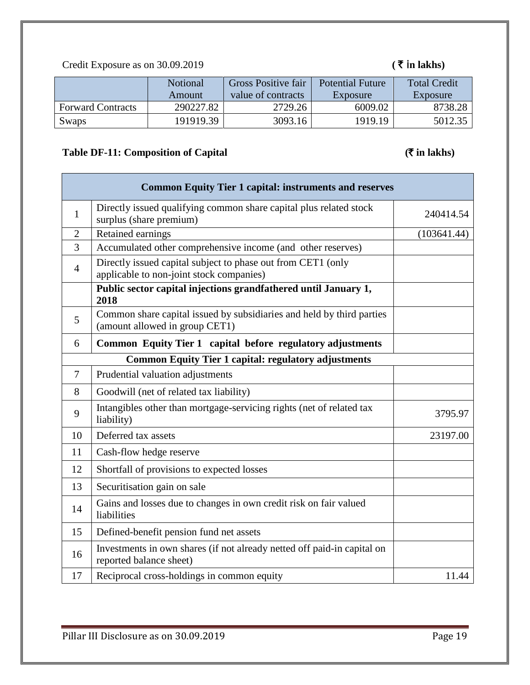Credit Exposure as on 30.09.2019 **(** ` i**n lakhs)**

|                          | Notional  | <b>Gross Positive fair</b> | <b>Potential Future</b> | <b>Total Credit</b> |
|--------------------------|-----------|----------------------------|-------------------------|---------------------|
|                          | Amount    | value of contracts         | Exposure                | Exposure            |
| <b>Forward Contracts</b> | 290227.82 | 2729.26                    | 6009.02                 | 8738.28             |
| Swaps                    | 191919.39 | 3093.16                    | 1919.19                 | 5012.35             |

# **Table DF-11:** Composition of Capital (₹ in lakhs)

|                | <b>Common Equity Tier 1 capital: instruments and reserves</b>                                            |             |
|----------------|----------------------------------------------------------------------------------------------------------|-------------|
| $\mathbf{1}$   | Directly issued qualifying common share capital plus related stock<br>surplus (share premium)            | 240414.54   |
| $\overline{2}$ | Retained earnings                                                                                        | (103641.44) |
| 3              | Accumulated other comprehensive income (and other reserves)                                              |             |
| $\overline{4}$ | Directly issued capital subject to phase out from CET1 (only<br>applicable to non-joint stock companies) |             |
|                | Public sector capital injections grandfathered until January 1,<br>2018                                  |             |
| 5              | Common share capital issued by subsidiaries and held by third parties<br>(amount allowed in group CET1)  |             |
| 6              | Common Equity Tier 1 capital before regulatory adjustments                                               |             |
|                | <b>Common Equity Tier 1 capital: regulatory adjustments</b>                                              |             |
| 7              | Prudential valuation adjustments                                                                         |             |
| 8              | Goodwill (net of related tax liability)                                                                  |             |
| 9              | Intangibles other than mortgage-servicing rights (net of related tax<br>liability)                       | 3795.97     |
| 10             | Deferred tax assets                                                                                      | 23197.00    |
| 11             | Cash-flow hedge reserve                                                                                  |             |
| 12             | Shortfall of provisions to expected losses                                                               |             |
| 13             | Securitisation gain on sale                                                                              |             |
| 14             | Gains and losses due to changes in own credit risk on fair valued<br>liabilities                         |             |
| 15             | Defined-benefit pension fund net assets                                                                  |             |
| 16             | Investments in own shares (if not already netted off paid-in capital on<br>reported balance sheet)       |             |
| 17             | Reciprocal cross-holdings in common equity                                                               | 11.44       |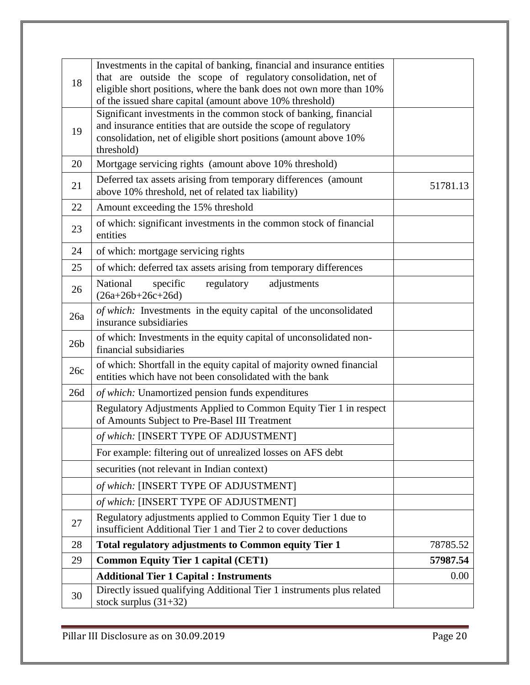| 18              | Investments in the capital of banking, financial and insurance entities<br>that are outside the scope of regulatory consolidation, net of<br>eligible short positions, where the bank does not own more than 10%<br>of the issued share capital (amount above 10% threshold) |          |
|-----------------|------------------------------------------------------------------------------------------------------------------------------------------------------------------------------------------------------------------------------------------------------------------------------|----------|
| 19              | Significant investments in the common stock of banking, financial<br>and insurance entities that are outside the scope of regulatory<br>consolidation, net of eligible short positions (amount above 10%<br>threshold)                                                       |          |
| 20              | Mortgage servicing rights (amount above 10% threshold)                                                                                                                                                                                                                       |          |
| 21              | Deferred tax assets arising from temporary differences (amount<br>above 10% threshold, net of related tax liability)                                                                                                                                                         | 51781.13 |
| 22              | Amount exceeding the 15% threshold                                                                                                                                                                                                                                           |          |
| 23              | of which: significant investments in the common stock of financial<br>entities                                                                                                                                                                                               |          |
| 24              | of which: mortgage servicing rights                                                                                                                                                                                                                                          |          |
| 25              | of which: deferred tax assets arising from temporary differences                                                                                                                                                                                                             |          |
| 26              | National<br>adjustments<br>specific<br>regulatory<br>$(26a+26b+26c+26d)$                                                                                                                                                                                                     |          |
| 26a             | of which: Investments in the equity capital of the unconsolidated<br>insurance subsidiaries                                                                                                                                                                                  |          |
| 26 <sub>b</sub> | of which: Investments in the equity capital of unconsolidated non-<br>financial subsidiaries                                                                                                                                                                                 |          |
| 26c             | of which: Shortfall in the equity capital of majority owned financial<br>entities which have not been consolidated with the bank                                                                                                                                             |          |
| 26d             | of which: Unamortized pension funds expenditures                                                                                                                                                                                                                             |          |
|                 | Regulatory Adjustments Applied to Common Equity Tier 1 in respect<br>of Amounts Subject to Pre-Basel III Treatment                                                                                                                                                           |          |
|                 | of which: [INSERT TYPE OF ADJUSTMENT]                                                                                                                                                                                                                                        |          |
|                 | For example: filtering out of unrealized losses on AFS debt                                                                                                                                                                                                                  |          |
|                 | securities (not relevant in Indian context)                                                                                                                                                                                                                                  |          |
|                 | of which: [INSERT TYPE OF ADJUSTMENT]                                                                                                                                                                                                                                        |          |
|                 | of which: [INSERT TYPE OF ADJUSTMENT]                                                                                                                                                                                                                                        |          |
| 27              | Regulatory adjustments applied to Common Equity Tier 1 due to<br>insufficient Additional Tier 1 and Tier 2 to cover deductions                                                                                                                                               |          |
| 28              | Total regulatory adjustments to Common equity Tier 1                                                                                                                                                                                                                         | 78785.52 |
| 29              | <b>Common Equity Tier 1 capital (CET1)</b>                                                                                                                                                                                                                                   | 57987.54 |
|                 | <b>Additional Tier 1 Capital : Instruments</b>                                                                                                                                                                                                                               | 0.00     |
| 30              | Directly issued qualifying Additional Tier 1 instruments plus related<br>stock surplus $(31+32)$                                                                                                                                                                             |          |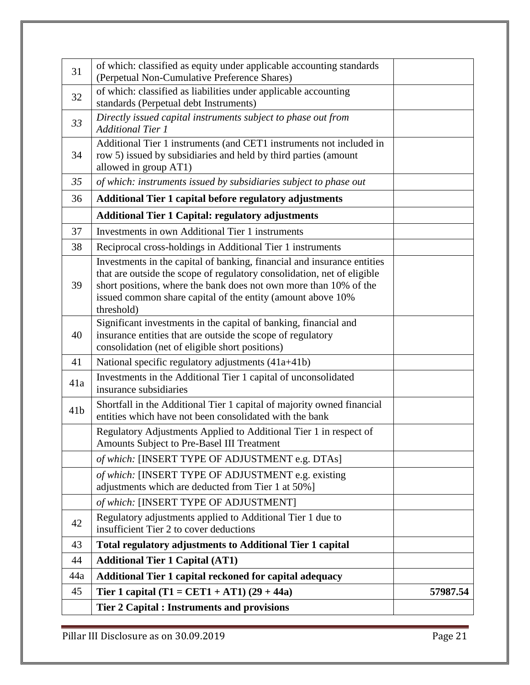| 45              | Tier 1 capital $(T1 = CET1 + AT1) (29 + 44a)$                                                                                                                                                                                                                                                        | 57987.54 |
|-----------------|------------------------------------------------------------------------------------------------------------------------------------------------------------------------------------------------------------------------------------------------------------------------------------------------------|----------|
| 44a             | Additional Tier 1 capital reckoned for capital adequacy                                                                                                                                                                                                                                              |          |
| 44              | <b>Additional Tier 1 Capital (AT1)</b>                                                                                                                                                                                                                                                               |          |
| 43              | Total regulatory adjustments to Additional Tier 1 capital                                                                                                                                                                                                                                            |          |
| 42              | Regulatory adjustments applied to Additional Tier 1 due to<br>insufficient Tier 2 to cover deductions                                                                                                                                                                                                |          |
|                 | of which: [INSERT TYPE OF ADJUSTMENT]                                                                                                                                                                                                                                                                |          |
|                 | of which: [INSERT TYPE OF ADJUSTMENT e.g. existing<br>adjustments which are deducted from Tier 1 at 50%]                                                                                                                                                                                             |          |
|                 | of which: [INSERT TYPE OF ADJUSTMENT e.g. DTAs]                                                                                                                                                                                                                                                      |          |
|                 | Regulatory Adjustments Applied to Additional Tier 1 in respect of<br>Amounts Subject to Pre-Basel III Treatment                                                                                                                                                                                      |          |
| 41 <sub>b</sub> | Shortfall in the Additional Tier 1 capital of majority owned financial<br>entities which have not been consolidated with the bank                                                                                                                                                                    |          |
| 41a             | Investments in the Additional Tier 1 capital of unconsolidated<br>insurance subsidiaries                                                                                                                                                                                                             |          |
| 41              | National specific regulatory adjustments (41a+41b)                                                                                                                                                                                                                                                   |          |
| 40              | Significant investments in the capital of banking, financial and<br>insurance entities that are outside the scope of regulatory<br>consolidation (net of eligible short positions)                                                                                                                   |          |
| 39              | Investments in the capital of banking, financial and insurance entities<br>that are outside the scope of regulatory consolidation, net of eligible<br>short positions, where the bank does not own more than 10% of the<br>issued common share capital of the entity (amount above 10%<br>threshold) |          |
| 38              | Reciprocal cross-holdings in Additional Tier 1 instruments                                                                                                                                                                                                                                           |          |
| 37              | Investments in own Additional Tier 1 instruments                                                                                                                                                                                                                                                     |          |
|                 | <b>Additional Tier 1 Capital: regulatory adjustments</b>                                                                                                                                                                                                                                             |          |
| 36              | <b>Additional Tier 1 capital before regulatory adjustments</b>                                                                                                                                                                                                                                       |          |
| 35              | of which: instruments issued by subsidiaries subject to phase out                                                                                                                                                                                                                                    |          |
| 34              | Additional Tier 1 instruments (and CET1 instruments not included in<br>row 5) issued by subsidiaries and held by third parties (amount<br>allowed in group AT1)                                                                                                                                      |          |
| 33              | Directly issued capital instruments subject to phase out from<br><b>Additional Tier 1</b>                                                                                                                                                                                                            |          |
| 32              | of which: classified as liabilities under applicable accounting<br>standards (Perpetual debt Instruments)                                                                                                                                                                                            |          |
| 31              | of which: classified as equity under applicable accounting standards<br>(Perpetual Non-Cumulative Preference Shares)                                                                                                                                                                                 |          |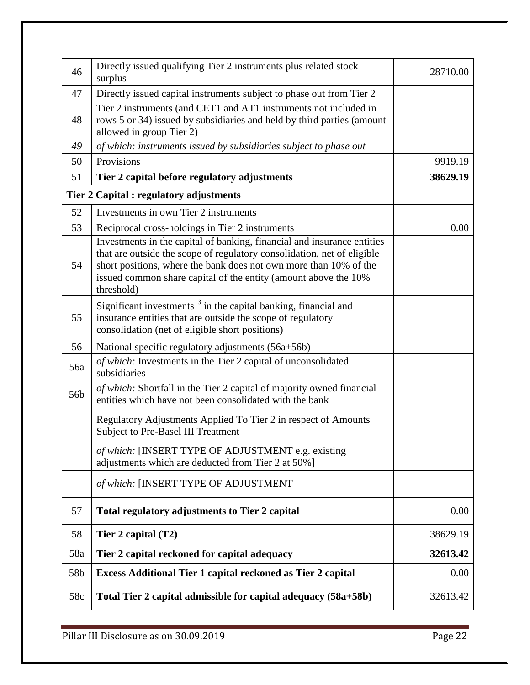| 46  | Directly issued qualifying Tier 2 instruments plus related stock<br>surplus                                                                                                                                                                                                                              | 28710.00 |
|-----|----------------------------------------------------------------------------------------------------------------------------------------------------------------------------------------------------------------------------------------------------------------------------------------------------------|----------|
| 47  | Directly issued capital instruments subject to phase out from Tier 2                                                                                                                                                                                                                                     |          |
| 48  | Tier 2 instruments (and CET1 and AT1 instruments not included in<br>rows 5 or 34) issued by subsidiaries and held by third parties (amount<br>allowed in group Tier 2)                                                                                                                                   |          |
| 49  | of which: instruments issued by subsidiaries subject to phase out                                                                                                                                                                                                                                        |          |
| 50  | Provisions                                                                                                                                                                                                                                                                                               | 9919.19  |
| 51  | Tier 2 capital before regulatory adjustments                                                                                                                                                                                                                                                             | 38629.19 |
|     | Tier 2 Capital : regulatory adjustments                                                                                                                                                                                                                                                                  |          |
| 52  | Investments in own Tier 2 instruments                                                                                                                                                                                                                                                                    |          |
| 53  | Reciprocal cross-holdings in Tier 2 instruments                                                                                                                                                                                                                                                          | 0.00     |
| 54  | Investments in the capital of banking, financial and insurance entities<br>that are outside the scope of regulatory consolidation, net of eligible<br>short positions, where the bank does not own more than 10% of the<br>issued common share capital of the entity (amount above the 10%<br>threshold) |          |
| 55  | Significant investments <sup>13</sup> in the capital banking, financial and<br>insurance entities that are outside the scope of regulatory<br>consolidation (net of eligible short positions)                                                                                                            |          |
| 56  | National specific regulatory adjustments (56a+56b)                                                                                                                                                                                                                                                       |          |
| 56a | of which: Investments in the Tier 2 capital of unconsolidated<br>subsidiaries                                                                                                                                                                                                                            |          |
| 56b | of which: Shortfall in the Tier 2 capital of majority owned financial<br>entities which have not been consolidated with the bank                                                                                                                                                                         |          |
|     | Regulatory Adjustments Applied To Tier 2 in respect of Amounts<br>Subject to Pre-Basel III Treatment                                                                                                                                                                                                     |          |
|     | of which: [INSERT TYPE OF ADJUSTMENT e.g. existing<br>adjustments which are deducted from Tier 2 at 50%]                                                                                                                                                                                                 |          |
|     | of which: [INSERT TYPE OF ADJUSTMENT                                                                                                                                                                                                                                                                     |          |
| 57  | Total regulatory adjustments to Tier 2 capital                                                                                                                                                                                                                                                           | 0.00     |
| 58  | Tier 2 capital (T2)                                                                                                                                                                                                                                                                                      | 38629.19 |
| 58a | Tier 2 capital reckoned for capital adequacy                                                                                                                                                                                                                                                             | 32613.42 |
| 58b | <b>Excess Additional Tier 1 capital reckoned as Tier 2 capital</b>                                                                                                                                                                                                                                       | 0.00     |
| 58c | Total Tier 2 capital admissible for capital adequacy (58a+58b)                                                                                                                                                                                                                                           | 32613.42 |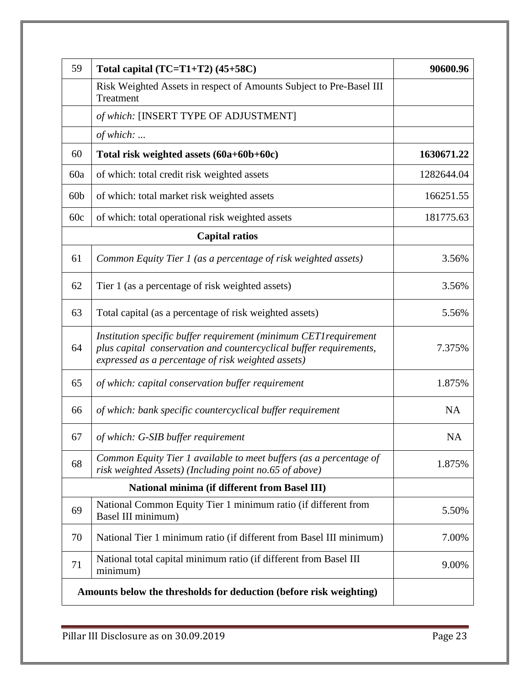| 59              | Total capital $(TC=T1+T2)$ (45+58C)                                                                                                                                                           | 90600.96   |
|-----------------|-----------------------------------------------------------------------------------------------------------------------------------------------------------------------------------------------|------------|
|                 | Risk Weighted Assets in respect of Amounts Subject to Pre-Basel III<br>Treatment                                                                                                              |            |
|                 | of which: [INSERT TYPE OF ADJUSTMENT]                                                                                                                                                         |            |
|                 | of which:                                                                                                                                                                                     |            |
| 60              | Total risk weighted assets (60a+60b+60c)                                                                                                                                                      | 1630671.22 |
| 60a             | of which: total credit risk weighted assets                                                                                                                                                   | 1282644.04 |
| 60 <sub>b</sub> | of which: total market risk weighted assets                                                                                                                                                   | 166251.55  |
| 60c             | of which: total operational risk weighted assets                                                                                                                                              | 181775.63  |
|                 | <b>Capital ratios</b>                                                                                                                                                                         |            |
| 61              | Common Equity Tier 1 (as a percentage of risk weighted assets)                                                                                                                                | 3.56%      |
| 62              | Tier 1 (as a percentage of risk weighted assets)                                                                                                                                              | 3.56%      |
| 63              | Total capital (as a percentage of risk weighted assets)                                                                                                                                       | 5.56%      |
| 64              | Institution specific buffer requirement (minimum CET1 requirement<br>plus capital conservation and countercyclical buffer requirements,<br>expressed as a percentage of risk weighted assets) | 7.375%     |
| 65              | of which: capital conservation buffer requirement                                                                                                                                             | 1.875%     |
| 66              | of which: bank specific countercyclical buffer requirement                                                                                                                                    | <b>NA</b>  |
| 67              | of which: G-SIB buffer requirement                                                                                                                                                            | NA         |
| 68              | Common Equity Tier 1 available to meet buffers (as a percentage of<br>risk weighted Assets) (Including point no.65 of above)                                                                  | 1.875%     |
|                 | <b>National minima (if different from Basel III)</b>                                                                                                                                          |            |
| 69              | National Common Equity Tier 1 minimum ratio (if different from<br>Basel III minimum)                                                                                                          | 5.50%      |
| 70              | National Tier 1 minimum ratio (if different from Basel III minimum)                                                                                                                           | 7.00%      |
| 71              | National total capital minimum ratio (if different from Basel III<br>minimum)                                                                                                                 | 9.00%      |
|                 | Amounts below the thresholds for deduction (before risk weighting)                                                                                                                            |            |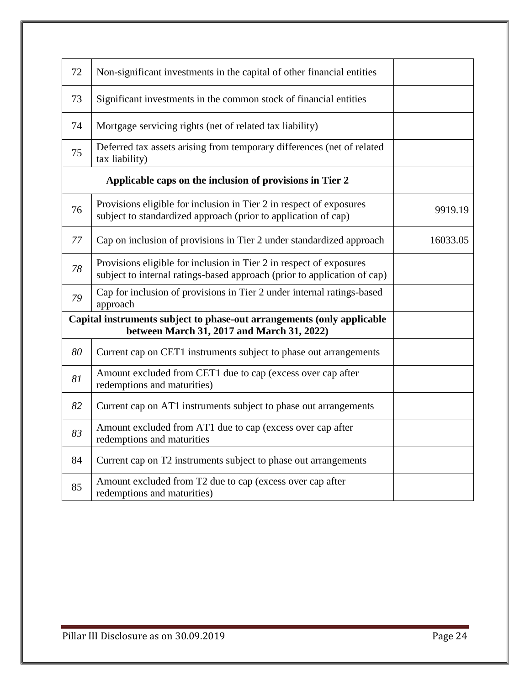| 72 | Non-significant investments in the capital of other financial entities                                                                          |          |  |  |  |
|----|-------------------------------------------------------------------------------------------------------------------------------------------------|----------|--|--|--|
| 73 | Significant investments in the common stock of financial entities                                                                               |          |  |  |  |
| 74 | Mortgage servicing rights (net of related tax liability)                                                                                        |          |  |  |  |
| 75 | Deferred tax assets arising from temporary differences (net of related<br>tax liability)                                                        |          |  |  |  |
|    | Applicable caps on the inclusion of provisions in Tier 2                                                                                        |          |  |  |  |
| 76 | Provisions eligible for inclusion in Tier 2 in respect of exposures<br>subject to standardized approach (prior to application of cap)           | 9919.19  |  |  |  |
| 77 | Cap on inclusion of provisions in Tier 2 under standardized approach                                                                            | 16033.05 |  |  |  |
| 78 | Provisions eligible for inclusion in Tier 2 in respect of exposures<br>subject to internal ratings-based approach (prior to application of cap) |          |  |  |  |
| 79 | Cap for inclusion of provisions in Tier 2 under internal ratings-based<br>approach                                                              |          |  |  |  |
|    | Capital instruments subject to phase-out arrangements (only applicable<br>between March 31, 2017 and March 31, 2022)                            |          |  |  |  |
| 80 | Current cap on CET1 instruments subject to phase out arrangements                                                                               |          |  |  |  |
| 81 | Amount excluded from CET1 due to cap (excess over cap after<br>redemptions and maturities)                                                      |          |  |  |  |
| 82 | Current cap on AT1 instruments subject to phase out arrangements                                                                                |          |  |  |  |
| 83 | Amount excluded from AT1 due to cap (excess over cap after<br>redemptions and maturities                                                        |          |  |  |  |
| 84 | Current cap on T2 instruments subject to phase out arrangements                                                                                 |          |  |  |  |
| 85 | Amount excluded from T2 due to cap (excess over cap after<br>redemptions and maturities)                                                        |          |  |  |  |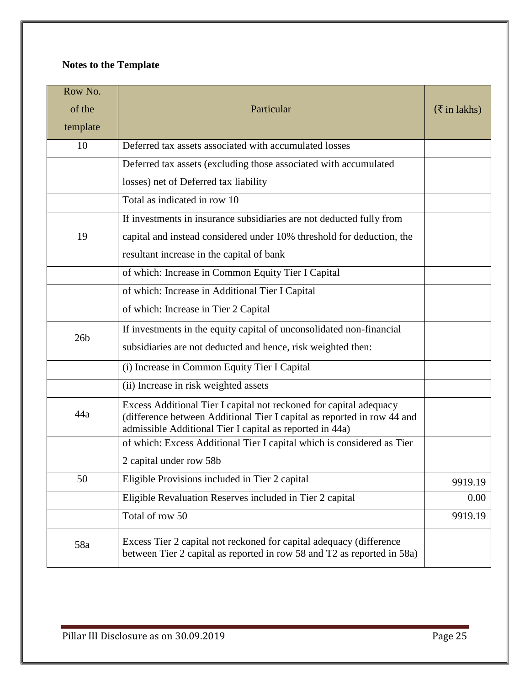# **Notes to the Template**

| Row No.                                                                                 |                                                                                                                                                                                                           |                      |  |  |
|-----------------------------------------------------------------------------------------|-----------------------------------------------------------------------------------------------------------------------------------------------------------------------------------------------------------|----------------------|--|--|
| of the                                                                                  | Particular                                                                                                                                                                                                | $(\bar{z}$ in lakhs) |  |  |
| template                                                                                |                                                                                                                                                                                                           |                      |  |  |
| 10                                                                                      | Deferred tax assets associated with accumulated losses                                                                                                                                                    |                      |  |  |
|                                                                                         | Deferred tax assets (excluding those associated with accumulated                                                                                                                                          |                      |  |  |
|                                                                                         | losses) net of Deferred tax liability                                                                                                                                                                     |                      |  |  |
|                                                                                         | Total as indicated in row 10                                                                                                                                                                              |                      |  |  |
|                                                                                         | If investments in insurance subsidiaries are not deducted fully from                                                                                                                                      |                      |  |  |
| 19                                                                                      | capital and instead considered under 10% threshold for deduction, the                                                                                                                                     |                      |  |  |
|                                                                                         | resultant increase in the capital of bank                                                                                                                                                                 |                      |  |  |
|                                                                                         | of which: Increase in Common Equity Tier I Capital                                                                                                                                                        |                      |  |  |
|                                                                                         | of which: Increase in Additional Tier I Capital                                                                                                                                                           |                      |  |  |
|                                                                                         | of which: Increase in Tier 2 Capital                                                                                                                                                                      |                      |  |  |
| If investments in the equity capital of unconsolidated non-financial<br>26 <sub>b</sub> |                                                                                                                                                                                                           |                      |  |  |
|                                                                                         | subsidiaries are not deducted and hence, risk weighted then:                                                                                                                                              |                      |  |  |
|                                                                                         | (i) Increase in Common Equity Tier I Capital                                                                                                                                                              |                      |  |  |
|                                                                                         | (ii) Increase in risk weighted assets                                                                                                                                                                     |                      |  |  |
| 44a                                                                                     | Excess Additional Tier I capital not reckoned for capital adequacy<br>(difference between Additional Tier I capital as reported in row 44 and<br>admissible Additional Tier I capital as reported in 44a) |                      |  |  |
|                                                                                         | of which: Excess Additional Tier I capital which is considered as Tier                                                                                                                                    |                      |  |  |
|                                                                                         | 2 capital under row 58b                                                                                                                                                                                   |                      |  |  |
| 50                                                                                      | Eligible Provisions included in Tier 2 capital                                                                                                                                                            |                      |  |  |
|                                                                                         | Eligible Revaluation Reserves included in Tier 2 capital                                                                                                                                                  | 0.00                 |  |  |
|                                                                                         | Total of row 50                                                                                                                                                                                           | 9919.19              |  |  |
| 58a                                                                                     | Excess Tier 2 capital not reckoned for capital adequacy (difference<br>between Tier 2 capital as reported in row 58 and T2 as reported in 58a)                                                            |                      |  |  |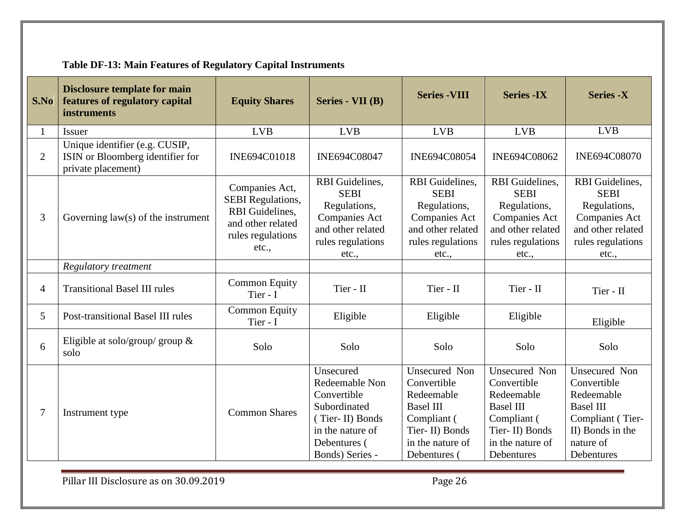| S.No           | <b>Disclosure template for main</b><br>features of regulatory capital<br><b>instruments</b> | <b>Equity Shares</b>                                                                                             | <b>Series - VII (B)</b>                                                                                                              | <b>Series - VIII</b>                                                                                                                | <b>Series - IX</b>                                                                                                                       | <b>Series -X</b>                                                                                                                         |
|----------------|---------------------------------------------------------------------------------------------|------------------------------------------------------------------------------------------------------------------|--------------------------------------------------------------------------------------------------------------------------------------|-------------------------------------------------------------------------------------------------------------------------------------|------------------------------------------------------------------------------------------------------------------------------------------|------------------------------------------------------------------------------------------------------------------------------------------|
| 1              | <b>Issuer</b>                                                                               | <b>LVB</b>                                                                                                       | <b>LVB</b>                                                                                                                           | <b>LVB</b>                                                                                                                          | <b>LVB</b>                                                                                                                               | <b>LVB</b>                                                                                                                               |
| $\overline{2}$ | Unique identifier (e.g. CUSIP,<br>ISIN or Bloomberg identifier for<br>private placement)    | INE694C01018                                                                                                     | INE694C08047                                                                                                                         | INE694C08054                                                                                                                        | INE694C08062                                                                                                                             | INE694C08070                                                                                                                             |
| 3              | Governing $law(s)$ of the instrument                                                        | Companies Act,<br><b>SEBI</b> Regulations,<br>RBI Guidelines,<br>and other related<br>rules regulations<br>etc., | RBI Guidelines,<br><b>SEBI</b><br>Regulations,<br><b>Companies Act</b><br>and other related<br>rules regulations<br>etc.,            | RBI Guidelines,<br><b>SEBI</b><br>Regulations,<br><b>Companies Act</b><br>and other related<br>rules regulations<br>etc.,           | RBI Guidelines,<br><b>SEBI</b><br>Regulations,<br><b>Companies Act</b><br>and other related<br>rules regulations<br>etc.,                | RBI Guidelines,<br><b>SEBI</b><br>Regulations,<br><b>Companies Act</b><br>and other related<br>rules regulations<br>etc.,                |
|                | <b>Regulatory treatment</b>                                                                 |                                                                                                                  |                                                                                                                                      |                                                                                                                                     |                                                                                                                                          |                                                                                                                                          |
| $\overline{4}$ | <b>Transitional Basel III rules</b>                                                         | <b>Common Equity</b><br>Tier - I                                                                                 | Tier - II                                                                                                                            | Tier - II                                                                                                                           | Tier - II                                                                                                                                | Tier - II                                                                                                                                |
| $5^{\circ}$    | <b>Post-transitional Basel III rules</b>                                                    | <b>Common Equity</b><br>Tier - I                                                                                 | Eligible                                                                                                                             | Eligible                                                                                                                            | Eligible                                                                                                                                 | Eligible                                                                                                                                 |
| 6              | Eligible at solo/group/ group &<br>solo                                                     | Solo                                                                                                             | Solo                                                                                                                                 | Solo                                                                                                                                | Solo                                                                                                                                     | Solo                                                                                                                                     |
| $\overline{7}$ | Instrument type                                                                             | <b>Common Shares</b>                                                                                             | Unsecured<br>Redeemable Non<br>Convertible<br>Subordinated<br>(Tier-II) Bonds<br>in the nature of<br>Debentures (<br>Bonds) Series - | Unsecured Non<br>Convertible<br>Redeemable<br><b>Basel III</b><br>Compliant (<br>Tier-II) Bonds<br>in the nature of<br>Debentures ( | <b>Unsecured Non</b><br>Convertible<br>Redeemable<br><b>Basel III</b><br>Compliant (<br>Tier-II) Bonds<br>in the nature of<br>Debentures | <b>Unsecured Non</b><br>Convertible<br>Redeemable<br><b>Basel III</b><br>Compliant (Tier-<br>II) Bonds in the<br>nature of<br>Debentures |

# **Table DF-13: Main Features of Regulatory Capital Instruments**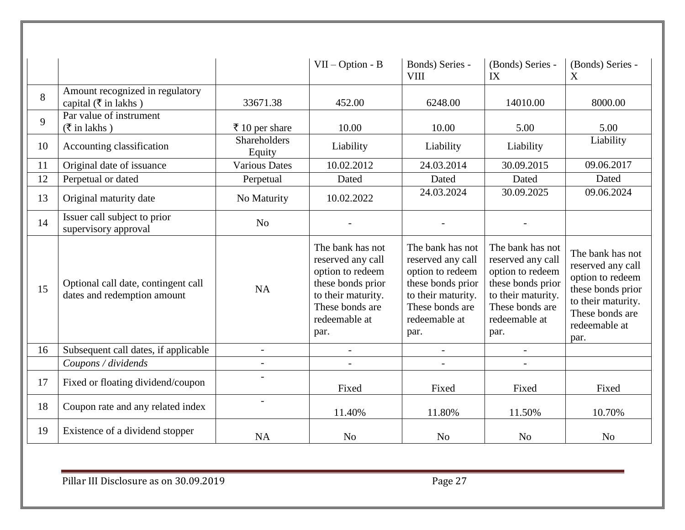|    |                                                                     |                               | $VII - Option - B$                                                                                                                               | Bonds) Series -<br><b>VIII</b>                                                                                                                   | (Bonds) Series -<br>IX                                                                                                                           | (Bonds) Series -<br>$\boldsymbol{\mathrm{X}}$                                                                                                    |
|----|---------------------------------------------------------------------|-------------------------------|--------------------------------------------------------------------------------------------------------------------------------------------------|--------------------------------------------------------------------------------------------------------------------------------------------------|--------------------------------------------------------------------------------------------------------------------------------------------------|--------------------------------------------------------------------------------------------------------------------------------------------------|
| 8  | Amount recognized in regulatory<br>capital ( $\bar{\tau}$ in lakhs) | 33671.38                      | 452.00                                                                                                                                           | 6248.00                                                                                                                                          | 14010.00                                                                                                                                         | 8000.00                                                                                                                                          |
| 9  | Par value of instrument<br>$(\overline{\xi}$ in lakhs)              | ₹ 10 per share                | 10.00                                                                                                                                            | 10.00                                                                                                                                            | 5.00                                                                                                                                             | 5.00                                                                                                                                             |
| 10 | Accounting classification                                           | <b>Shareholders</b><br>Equity | Liability                                                                                                                                        | Liability                                                                                                                                        | Liability                                                                                                                                        | Liability                                                                                                                                        |
| 11 | Original date of issuance                                           | <b>Various Dates</b>          | 10.02.2012                                                                                                                                       | 24.03.2014                                                                                                                                       | 30.09.2015                                                                                                                                       | 09.06.2017                                                                                                                                       |
| 12 | Perpetual or dated                                                  | Perpetual                     | Dated                                                                                                                                            | Dated                                                                                                                                            | Dated                                                                                                                                            | Dated                                                                                                                                            |
| 13 | Original maturity date                                              | No Maturity                   | 10.02.2022                                                                                                                                       | 24.03.2024                                                                                                                                       | 30.09.2025                                                                                                                                       | 09.06.2024                                                                                                                                       |
| 14 | Issuer call subject to prior<br>supervisory approval                | N <sub>o</sub>                |                                                                                                                                                  |                                                                                                                                                  |                                                                                                                                                  |                                                                                                                                                  |
| 15 | Optional call date, contingent call<br>dates and redemption amount  | <b>NA</b>                     | The bank has not<br>reserved any call<br>option to redeem<br>these bonds prior<br>to their maturity.<br>These bonds are<br>redeemable at<br>par. | The bank has not<br>reserved any call<br>option to redeem<br>these bonds prior<br>to their maturity.<br>These bonds are<br>redeemable at<br>par. | The bank has not<br>reserved any call<br>option to redeem<br>these bonds prior<br>to their maturity.<br>These bonds are<br>redeemable at<br>par. | The bank has not<br>reserved any call<br>option to redeem<br>these bonds prior<br>to their maturity.<br>These bonds are<br>redeemable at<br>par. |
| 16 | Subsequent call dates, if applicable                                | $\overline{\phantom{a}}$      | $\overline{\phantom{a}}$                                                                                                                         |                                                                                                                                                  |                                                                                                                                                  |                                                                                                                                                  |
|    | Coupons / dividends                                                 |                               |                                                                                                                                                  |                                                                                                                                                  |                                                                                                                                                  |                                                                                                                                                  |
| 17 | Fixed or floating dividend/coupon                                   |                               | Fixed                                                                                                                                            | Fixed                                                                                                                                            | Fixed                                                                                                                                            | Fixed                                                                                                                                            |
| 18 | Coupon rate and any related index                                   | $\overline{a}$                | 11.40%                                                                                                                                           | 11.80%                                                                                                                                           | 11.50%                                                                                                                                           | 10.70%                                                                                                                                           |
| 19 | Existence of a dividend stopper                                     | <b>NA</b>                     | N <sub>o</sub>                                                                                                                                   | N <sub>o</sub>                                                                                                                                   | N <sub>o</sub>                                                                                                                                   | N <sub>o</sub>                                                                                                                                   |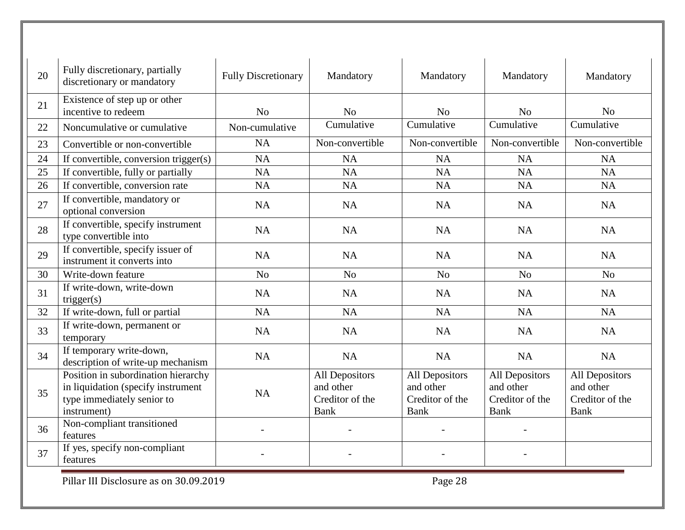| 20 | Fully discretionary, partially<br>discretionary or mandatory                                                           | <b>Fully Discretionary</b> | Mandatory                                                     | Mandatory                                                     | Mandatory                                                     | Mandatory                                                     |
|----|------------------------------------------------------------------------------------------------------------------------|----------------------------|---------------------------------------------------------------|---------------------------------------------------------------|---------------------------------------------------------------|---------------------------------------------------------------|
| 21 | Existence of step up or other<br>incentive to redeem                                                                   | N <sub>o</sub>             | N <sub>o</sub>                                                | N <sub>o</sub>                                                | N <sub>o</sub>                                                | N <sub>o</sub>                                                |
| 22 | Noncumulative or cumulative                                                                                            | Non-cumulative             | Cumulative                                                    | Cumulative                                                    | Cumulative                                                    | Cumulative                                                    |
| 23 | Convertible or non-convertible                                                                                         | <b>NA</b>                  | Non-convertible                                               | Non-convertible                                               | Non-convertible                                               | Non-convertible                                               |
| 24 | If convertible, conversion trigger(s)                                                                                  | <b>NA</b>                  | <b>NA</b>                                                     | <b>NA</b>                                                     | <b>NA</b>                                                     | <b>NA</b>                                                     |
| 25 | If convertible, fully or partially                                                                                     | <b>NA</b>                  | NA                                                            | NA                                                            | NA                                                            | NA                                                            |
| 26 | If convertible, conversion rate                                                                                        | NA                         | NA                                                            | NA                                                            | NA                                                            | NA                                                            |
| 27 | If convertible, mandatory or<br>optional conversion                                                                    | <b>NA</b>                  | <b>NA</b>                                                     | <b>NA</b>                                                     | <b>NA</b>                                                     | NA                                                            |
| 28 | If convertible, specify instrument<br>type convertible into                                                            | <b>NA</b>                  | <b>NA</b>                                                     | <b>NA</b>                                                     | <b>NA</b>                                                     | <b>NA</b>                                                     |
| 29 | If convertible, specify issuer of<br>instrument it converts into                                                       | <b>NA</b>                  | <b>NA</b>                                                     | <b>NA</b>                                                     | <b>NA</b>                                                     | NA                                                            |
| 30 | Write-down feature                                                                                                     | N <sub>o</sub>             | N <sub>o</sub>                                                | N <sub>o</sub>                                                | No                                                            | No                                                            |
| 31 | If write-down, write-down<br>trigger(s)                                                                                | <b>NA</b>                  | <b>NA</b>                                                     | <b>NA</b>                                                     | <b>NA</b>                                                     | <b>NA</b>                                                     |
| 32 | If write-down, full or partial                                                                                         | <b>NA</b>                  | <b>NA</b>                                                     | <b>NA</b>                                                     | <b>NA</b>                                                     | <b>NA</b>                                                     |
| 33 | If write-down, permanent or<br>temporary                                                                               | <b>NA</b>                  | <b>NA</b>                                                     | <b>NA</b>                                                     | <b>NA</b>                                                     | <b>NA</b>                                                     |
| 34 | If temporary write-down,<br>description of write-up mechanism                                                          | <b>NA</b>                  | <b>NA</b>                                                     | <b>NA</b>                                                     | <b>NA</b>                                                     | <b>NA</b>                                                     |
| 35 | Position in subordination hierarchy<br>in liquidation (specify instrument<br>type immediately senior to<br>instrument) | <b>NA</b>                  | All Depositors<br>and other<br>Creditor of the<br><b>Bank</b> | <b>All Depositors</b><br>and other<br>Creditor of the<br>Bank | All Depositors<br>and other<br>Creditor of the<br><b>Bank</b> | All Depositors<br>and other<br>Creditor of the<br><b>Bank</b> |
| 36 | Non-compliant transitioned<br>features                                                                                 |                            |                                                               |                                                               |                                                               |                                                               |
| 37 | If yes, specify non-compliant<br>features                                                                              |                            |                                                               |                                                               |                                                               |                                                               |
|    | Pillar III Disclosure as on 30.09.2019<br>Page 28                                                                      |                            |                                                               |                                                               |                                                               |                                                               |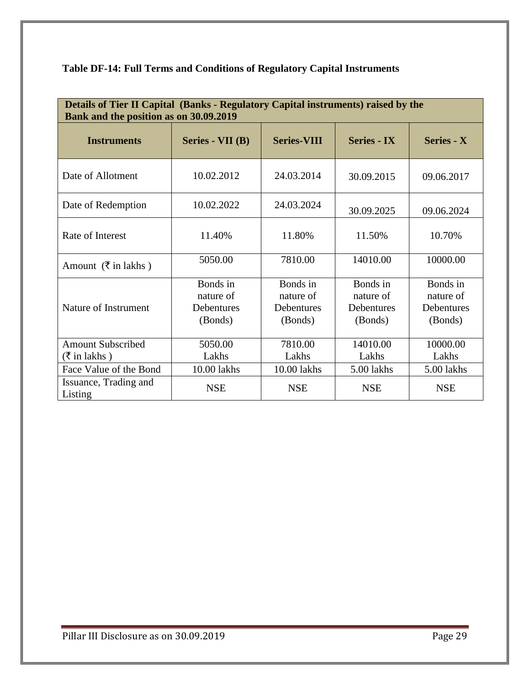| Table DF-14: Full Terms and Conditions of Regulatory Capital Instruments |  |
|--------------------------------------------------------------------------|--|
|--------------------------------------------------------------------------|--|

| Details of Tier II Capital (Banks - Regulatory Capital instruments) raised by the<br>Bank and the position as on 30.09.2019 |                                                |                                                |                                                |                                                |  |  |  |
|-----------------------------------------------------------------------------------------------------------------------------|------------------------------------------------|------------------------------------------------|------------------------------------------------|------------------------------------------------|--|--|--|
| <b>Instruments</b>                                                                                                          | Series - VII (B)                               | <b>Series-VIII</b>                             | <b>Series - IX</b>                             | <b>Series - X</b>                              |  |  |  |
| Date of Allotment                                                                                                           | 10.02.2012                                     | 24.03.2014                                     | 30.09.2015                                     | 09.06.2017                                     |  |  |  |
| Date of Redemption                                                                                                          | 10.02.2022                                     | 24.03.2024                                     | 30.09.2025                                     | 09.06.2024                                     |  |  |  |
| Rate of Interest                                                                                                            | 11.40%                                         | 11.80%                                         | 11.50%                                         | 10.70%                                         |  |  |  |
| Amount ( $\bar{\tau}$ in lakhs)                                                                                             | 5050.00                                        | 7810.00                                        | 14010.00                                       | 10000.00                                       |  |  |  |
| Nature of Instrument                                                                                                        | Bonds in<br>nature of<br>Debentures<br>(Bonds) | Bonds in<br>nature of<br>Debentures<br>(Bonds) | Bonds in<br>nature of<br>Debentures<br>(Bonds) | Bonds in<br>nature of<br>Debentures<br>(Bonds) |  |  |  |
| <b>Amount Subscribed</b>                                                                                                    | 5050.00                                        | 7810.00                                        | 14010.00                                       | 10000.00                                       |  |  |  |
| $(\bar{\tau}$ in lakhs)<br>Face Value of the Bond                                                                           | Lakhs<br>10.00 lakhs                           | Lakhs<br>10.00 lakhs                           | Lakhs<br>5.00 lakhs                            | Lakhs<br>5.00 lakhs                            |  |  |  |
| Issuance, Trading and<br>Listing                                                                                            | <b>NSE</b>                                     | <b>NSE</b>                                     | <b>NSE</b>                                     | <b>NSE</b>                                     |  |  |  |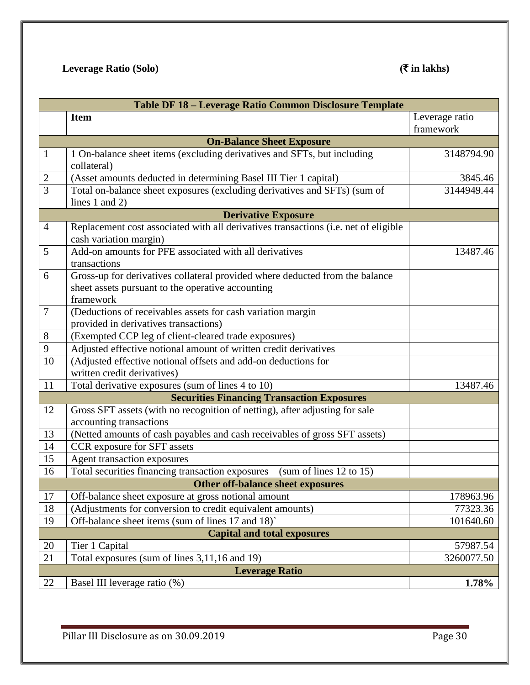# **Leverage Ratio (Solo) (**` **in lakhs)**

|                       | Table DF 18 - Leverage Ratio Common Disclosure Template                             |                |  |  |  |  |  |
|-----------------------|-------------------------------------------------------------------------------------|----------------|--|--|--|--|--|
|                       | <b>Item</b>                                                                         | Leverage ratio |  |  |  |  |  |
|                       |                                                                                     | framework      |  |  |  |  |  |
|                       | <b>On-Balance Sheet Exposure</b>                                                    |                |  |  |  |  |  |
| $\mathbf{1}$          | 1 On-balance sheet items (excluding derivatives and SFTs, but including             | 3148794.90     |  |  |  |  |  |
|                       | collateral)                                                                         |                |  |  |  |  |  |
| $\overline{2}$        | (Asset amounts deducted in determining Basel III Tier 1 capital)                    | 3845.46        |  |  |  |  |  |
| 3                     | Total on-balance sheet exposures (excluding derivatives and SFTs) (sum of           | 3144949.44     |  |  |  |  |  |
|                       | lines $1$ and $2$ )                                                                 |                |  |  |  |  |  |
|                       | <b>Derivative Exposure</b>                                                          |                |  |  |  |  |  |
| $\overline{4}$        | Replacement cost associated with all derivatives transactions (i.e. net of eligible |                |  |  |  |  |  |
|                       | cash variation margin)                                                              |                |  |  |  |  |  |
| 5                     | Add-on amounts for PFE associated with all derivatives                              | 13487.46       |  |  |  |  |  |
|                       | transactions                                                                        |                |  |  |  |  |  |
| 6                     | Gross-up for derivatives collateral provided where deducted from the balance        |                |  |  |  |  |  |
|                       | sheet assets pursuant to the operative accounting                                   |                |  |  |  |  |  |
|                       | framework                                                                           |                |  |  |  |  |  |
| $\overline{7}$        | (Deductions of receivables assets for cash variation margin                         |                |  |  |  |  |  |
|                       | provided in derivatives transactions)                                               |                |  |  |  |  |  |
| $8\,$                 | (Exempted CCP leg of client-cleared trade exposures)                                |                |  |  |  |  |  |
| 9                     | Adjusted effective notional amount of written credit derivatives                    |                |  |  |  |  |  |
| 10                    | (Adjusted effective notional offsets and add-on deductions for                      |                |  |  |  |  |  |
|                       | written credit derivatives)                                                         |                |  |  |  |  |  |
| 11                    | Total derivative exposures (sum of lines 4 to 10)                                   | 13487.46       |  |  |  |  |  |
|                       | <b>Securities Financing Transaction Exposures</b>                                   |                |  |  |  |  |  |
| 12                    | Gross SFT assets (with no recognition of netting), after adjusting for sale         |                |  |  |  |  |  |
|                       | accounting transactions                                                             |                |  |  |  |  |  |
| 13                    | (Netted amounts of cash payables and cash receivables of gross SFT assets)          |                |  |  |  |  |  |
| 14                    | CCR exposure for SFT assets                                                         |                |  |  |  |  |  |
| $\overline{15}$       | Agent transaction exposures                                                         |                |  |  |  |  |  |
| 16                    | Total securities financing transaction exposures<br>(sum of lines $12$ to $15$ )    |                |  |  |  |  |  |
|                       | <b>Other off-balance sheet exposures</b>                                            |                |  |  |  |  |  |
| 17                    | Off-balance sheet exposure at gross notional amount                                 | 178963.96      |  |  |  |  |  |
| 18                    | (Adjustments for conversion to credit equivalent amounts)                           | 77323.36       |  |  |  |  |  |
| 19                    | Off-balance sheet items (sum of lines 17 and 18)                                    | 101640.60      |  |  |  |  |  |
|                       | <b>Capital and total exposures</b>                                                  |                |  |  |  |  |  |
| 20                    | Tier 1 Capital                                                                      | 57987.54       |  |  |  |  |  |
| 21                    | Total exposures (sum of lines 3,11,16 and 19)                                       | 3260077.50     |  |  |  |  |  |
| <b>Leverage Ratio</b> |                                                                                     |                |  |  |  |  |  |
| 22                    | Basel III leverage ratio (%)                                                        | 1.78%          |  |  |  |  |  |